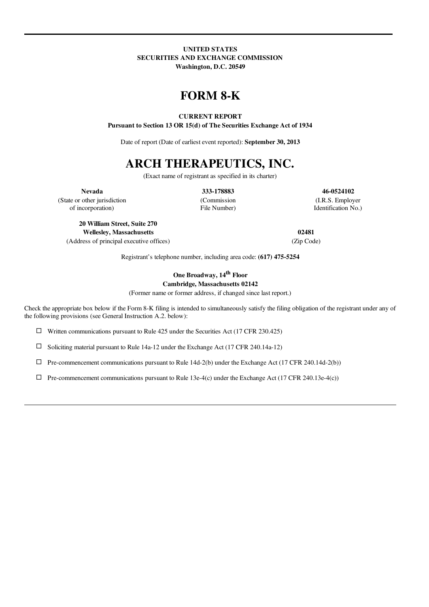## UNITED STATES SECURITIES AND EXCHANGE COMMISSION Washington, D.C. 20549

# FORM 8-K

## CURRENT REPORT

Pursuant to Section 13 OR 15(d) of The Securities Exchange Act of 1934

Date of report (Date of earliest event reported): September 30, 2013

# ARCH THERAPEUTICS, INC.

(Exact name of registrant as specified in its charter)

Nevada 333-178883 46-0524102

(State or other jurisdiction (Commission (I.R.S. Employer of incorporation) File Number) Identification No.)

20 William Street, Suite 270 Wellesley, Massachusetts 02481

(Address of principal executive offices) (Zip Code)

Registrant's telephone number, including area code: (617) 475-5254

One Broadway, 14<sup>th</sup> Floor Cambridge, Massachusetts 02142

(Former name or former address, if changed since last report.)

Check the appropriate box below if the Form 8-K filing is intended to simultaneously satisfy the filing obligation of the registrant under any of the following provisions (see General Instruction A.2. below):

 $\Box$  Written communications pursuant to Rule 425 under the Securities Act (17 CFR 230.425)

 $\square$  Soliciting material pursuant to Rule 14a-12 under the Exchange Act (17 CFR 240.14a-12)

 $\Box$  Pre-commencement communications pursuant to Rule 14d-2(b) under the Exchange Act (17 CFR 240.14d-2(b))

 $\Box$  Pre-commencement communications pursuant to Rule 13e-4(c) under the Exchange Act (17 CFR 240.13e-4(c))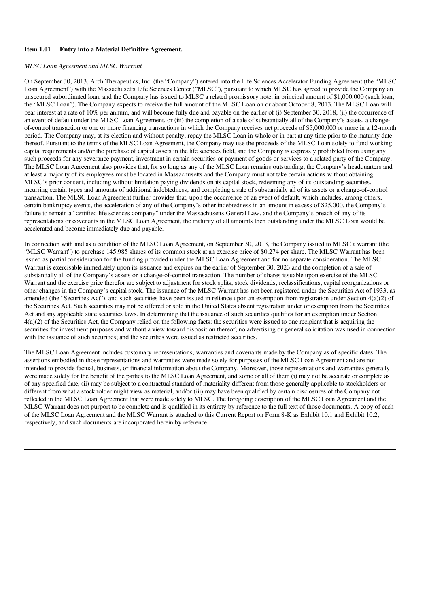#### Item 1.01 Entry into a Material Definitive Agreement.

#### *MLSC Loan Agreement and MLSC Warrant*

On September 30, 2013, Arch Therapeutics, Inc. (the "Company") entered into the Life Sciences Accelerator Funding Agreement (the "MLSC Loan Agreement") with the Massachusetts Life Sciences Center ("MLSC"), pursuant to which MLSC has agreed to provide the Company an unsecured subordinated loan, and the Company has issued to MLSC a related promissory note, in principal amount of \$1,000,000 (such loan, the "MLSC Loan"). The Company expects to receive the full amount of the MLSC Loan on or about October 8, 2013. The MLSC Loan will bear interest at a rate of 10% per annum, and will become fully due and payable on the earlier of (i) September 30, 2018, (ii) the occurrence of an event of default under the MLSC Loan Agreement, or (iii) the completion of a sale of substantially all of the Company's assets, a changeof-control transaction or one or more financing transactions in which the Company receives net proceeds of \$5,000,000 or more in a 12-month period. The Company may, at its election and without penalty, repay the MLSC Loan in whole or in part at any time prior to the maturity date thereof. Pursuant to the terms of the MLSC Loan Agreement, the Company may use the proceeds of the MLSC Loan solely to fund working capital requirements and/or the purchase of capital assets in the life sciences field, and the Company is expressly prohibited from using any such proceeds for any severance payment, investment in certain securities or payment of goods or services to a related party of the Company. The MLSC Loan Agreement also provides that, for so long as any of the MLSC Loan remains outstanding, the Company's headquarters and at least a majority of its employees must be located in Massachusetts and the Company must not take certain actions without obtaining MLSC's prior consent, including without limitation paying dividends on its capital stock, redeeming any of its outstanding securities, incurring certain types and amounts of additional indebtedness, and completing a sale of substantially all of its assets or a change-of-control transaction. The MLSC Loan Agreement further provides that, upon the occurrence of an event of default, which includes, among others, certain bankruptcy events, the acceleration of any of the Company's other indebtedness in an amount in excess of \$25,000, the Company's failure to remain a "certified life sciences company" under the Massachusetts General Law, and the Company's breach of any of its representations or covenants in the MLSC Loan Agreement, the maturity of all amounts then outstanding under the MLSC Loan would be accelerated and become immediately due and payable.

In connection with and as a condition of the MLSC Loan Agreement, on September 30, 2013, the Company issued to MLSC a warrant (the "MLSC Warrant") to purchase 145,985 shares of its common stock at an exercise price of \$0.274 per share. The MLSC Warrant has been issued as partial consideration for the funding provided under the MLSC Loan Agreement and for no separate consideration. The MLSC Warrant is exercisable immediately upon its issuance and expires on the earlier of September 30, 2023 and the completion of a sale of substantially all of the Company's assets or a change-of-control transaction. The number of shares issuable upon exercise of the MLSC Warrant and the exercise price therefor are subject to adjustment for stock splits, stock dividends, reclassifications, capital reorganizations or other changes in the Company's capital stock. The issuance of the MLSC Warrant has not been registered under the Securities Act of 1933, as amended (the "Securities Act"), and such securities have been issued in reliance upon an exemption from registration under Section 4(a)(2) of the Securities Act. Such securities may not be offered or sold in the United States absent registration under or exemption from the Securities Act and any applicable state securities laws. In determining that the issuance of such securities qualifies for an exemption under Section 4(a)(2) of the Securities Act, the Company relied on the following facts: the securities were issued to one recipient that is acquiring the securities for investment purposes and without a view toward disposition thereof; no advertising or general solicitation was used in connection with the issuance of such securities; and the securities were issued as restricted securities.

The MLSC Loan Agreement includes customary representations, warranties and covenants made by the Company as of specific dates. The assertions embodied in those representations and warranties were made solely for purposes of the MLSC Loan Agreement and are not intended to provide factual, business, or financial information about the Company. Moreover, those representations and warranties generally were made solely for the benefit of the parties to the MLSC Loan Agreement, and some or all of them (i) may not be accurate or complete as of any specified date, (ii) may be subject to a contractual standard of materiality different from those generally applicable to stockholders or different from what a stockholder might view as material, and/or (iii) may have been qualified by certain disclosures of the Company not reflected in the MLSC Loan Agreement that were made solely to MLSC. The foregoing description of the MLSC Loan Agreement and the MLSC Warrant does not purport to be complete and is qualified in its entirety by reference to the full text of those documents. A copy of each of the MLSC Loan Agreement and the MLSC Warrant is attached to this Current Report on Form 8-K as Exhibit 10.1 and Exhibit 10.2, respectively, and such documents are incorporated herein by reference.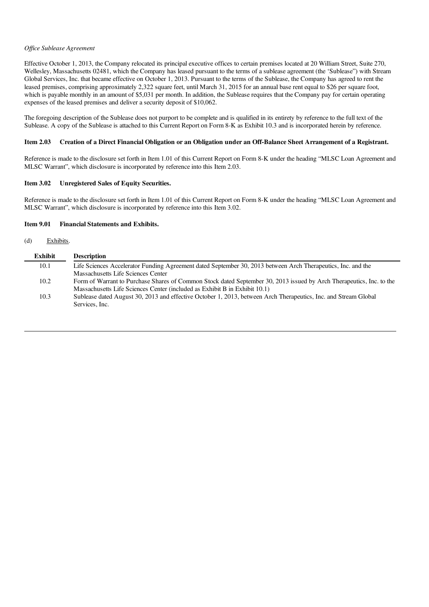#### *Of ice Sublease Agreement*

Effective October 1, 2013, the Company relocated its principal executive offices to certain premises located at 20 William Street, Suite 270, Wellesley, Massachusetts 02481, which the Company has leased pursuant to the terms of a sublease agreement (the 'Sublease") with Stream Global Services, Inc. that became effective on October 1, 2013. Pursuant to the terms of the Sublease, the Company has agreed to rent the leased premises, comprising approximately 2,322 square feet, until March 31, 2015 for an annual base rent equal to \$26 per square foot, which is payable monthly in an amount of \$5,031 per month. In addition, the Sublease requires that the Company pay for certain operating expenses of the leased premises and deliver a security deposit of \$10,062.

The foregoing description of the Sublease does not purport to be complete and is qualified in its entirety by reference to the full text of the Sublease. A copy of the Sublease is attached to this Current Report on Form 8-K as Exhibit 10.3 and is incorporated herein by reference.

#### Item 2.03 Creation of a Direct Financial Obligation or an Obligation under an Off-Balance Sheet Arrangement of a Registrant.

Reference is made to the disclosure set forth in Item 1.01 of this Current Report on Form 8-K under the heading "MLSC Loan Agreement and MLSC Warrant", which disclosure is incorporated by reference into this Item 2.03.

#### Item 3.02 Unregistered Sales of Equity Securities.

Reference is made to the disclosure set forth in Item 1.01 of this Current Report on Form 8-K under the heading "MLSC Loan Agreement and MLSC Warrant", which disclosure is incorporated by reference into this Item 3.02.

#### Item 9.01 Financial Statements and Exhibits.

#### (d) Exhibits.

| Exhibit | <b>Description</b>                                                                                                   |
|---------|----------------------------------------------------------------------------------------------------------------------|
| 10.1    | Life Sciences Accelerator Funding Agreement dated September 30, 2013 between Arch Therapeutics, Inc. and the         |
|         | Massachusetts Life Sciences Center                                                                                   |
| 10.2    | Form of Warrant to Purchase Shares of Common Stock dated September 30, 2013 issued by Arch Therapeutics, Inc. to the |
|         | Massachusetts Life Sciences Center (included as Exhibit B in Exhibit 10.1)                                           |
| 10.3    | Sublease dated August 30, 2013 and effective October 1, 2013, between Arch Therapeutics, Inc. and Stream Global      |
|         | Services, Inc.                                                                                                       |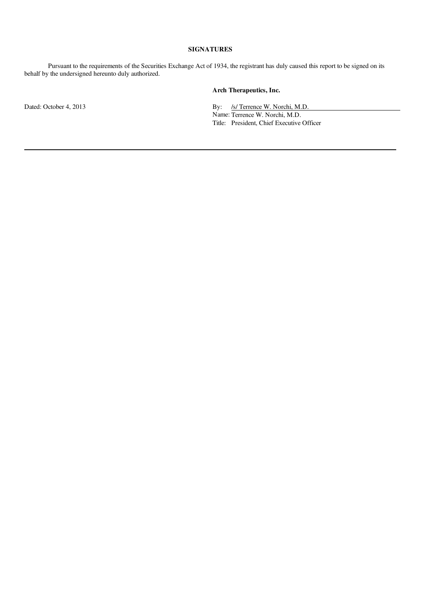#### SIGNATURES

Pursuant to the requirements of the Securities Exchange Act of 1934, the registrant has duly caused this report to be signed on its behalf by the undersigned hereunto duly authorized.

# Arch Therapeutics, Inc.

Dated: October 4, 2013 **By:** *S/ Terrence W. Norchi, M.D.* Name: Terrence W. Norchi, M.D. Title: President, Chief Executive Officer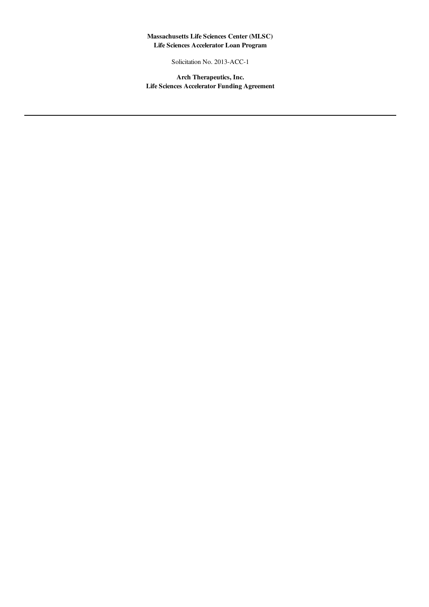# Massachusetts Life Sciences Center (MLSC) Life Sciences Accelerator Loan Program

Solicitation No. 2013-ACC-1

Arch Therapeutics, Inc. Life Sciences Accelerator Funding Agreement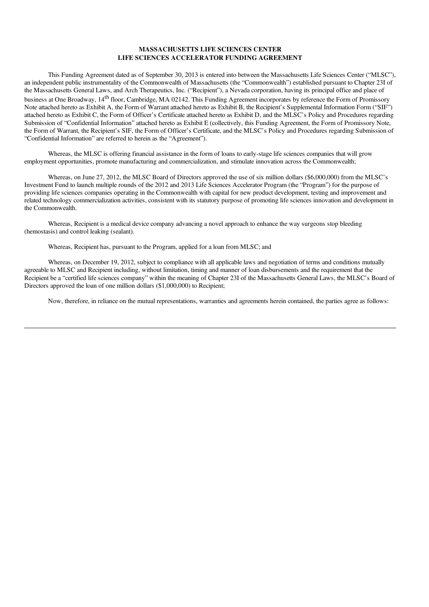#### MASSACHUSETTS LIFE SCIENCES CENTER LIFE SCIENCES ACCELERATOR FUNDING AGREEMENT

This Funding Agreement dated as of September 30, 2013 is entered into between the Massachusetts Life Sciences Center ("MLSC"), an independent public instrumentality of the Commonwealth of Massachusetts (the "Commonwealth") established pursuant to Chapter 23I of the Massachusetts General Laws, and Arch Therapeutics, Inc. ("Recipient"), a Nevada corporation, having its principal office and place of business at One Broadway, 14<sup>th</sup> floor, Cambridge, MA 02142. This Funding Agreement incorporates by reference the Form of Promissory Note attached hereto as Exhibit A, the Form of Warrant attached hereto as Exhibit B, the Recipient's Supplemental Information Form ("SIF") attached hereto as Exhibit C, the Form of Officer's Certificate attached hereto as Exhibit D, and the MLSC's Policy and Procedures regarding Submission of "Confidential Information" attached hereto as Exhibit E (collectively, this Funding Agreement, the Form of Promissory Note, the Form of Warrant, the Recipient's SIF, the Form of Officer's Certificate, and the MLSC's Policy and Procedures regarding Submission of "Confidential Information" are referred to herein as the "Agreement").

Whereas, the MLSC is offering financial assistance in the form of loans to early-stage life sciences companies that will grow employment opportunities, promote manufacturing and commercialization, and stimulate innovation across the Commonwealth;

Whereas, on June 27, 2012, the MLSC Board of Directors approved the use of six million dollars (\$6,000,000) from the MLSC's Investment Fund to launch multiple rounds of the 2012 and 2013 Life Sciences Accelerator Program (the "Program") for the purpose of providing life sciences companies operating in the Commonwealth with capital for new product development, testing and improvement and related technology commercialization activities, consistent with its statutory purpose of promoting life sciences innovation and development in the Commonwealth.

Whereas, Recipient is a medical device company advancing a novel approach to enhance the way surgeons stop bleeding (hemostasis) and control leaking (sealant).

Whereas, Recipient has, pursuant to the Program, applied for a loan from MLSC; and

Whereas, on December 19, 2012, subject to compliance with all applicable laws and negotiation of terms and conditions mutually agreeable to MLSC and Recipient including, without limitation, timing and manner of loan disbursements and the requirement that the Recipient be a "certified life sciences company" within the meaning of Chapter 23I of the Massachusetts General Laws, the MLSC's Board of Directors approved the loan of one million dollars (\$1,000,000) to Recipient;

Now, therefore, in reliance on the mutual representations, warranties and agreements herein contained, the parties agree as follows: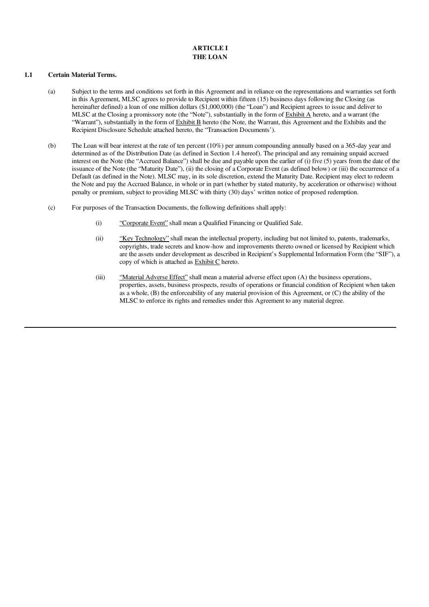# ARTICLE I THE LOAN

#### 1.1 Certain Material Terms.

- (a) Subject to the terms and conditions set forth in this Agreement and in reliance on the representations and warranties set forth in this Agreement, MLSC agrees to provide to Recipient within fifteen (15) business days following the Closing (as hereinafter defined) a loan of one million dollars (\$1,000,000) (the "Loan") and Recipient agrees to issue and deliver to MLSC at the Closing a promissory note (the "Note"), substantially in the form of  $\frac{\text{Exhibit A}}{\text{A}}$  hereto, and a warrant (the "Warrant"), substantially in the form of Exhibit B hereto (the Note, the Warrant, this Agreement and the Exhibits and the Recipient Disclosure Schedule attached hereto, the "Transaction Documents').
- (b) The Loan will bear interest at the rate of ten percent (10%) per annum compounding annually based on a 365-day year and determined as of the Distribution Date (as defined in Section 1.4 hereof). The principal and any remaining unpaid accrued interest on the Note (the "Accrued Balance") shall be due and payable upon the earlier of (i) five (5) years from the date of the issuance of the Note (the "Maturity Date"), (ii) the closing of a Corporate Event (as defined below) or (iii) the occurrence of a Default (as defined in the Note). MLSC may, in its sole discretion, extend the Maturity Date. Recipient may elect to redeem the Note and pay the Accrued Balance, in whole or in part (whether by stated maturity, by acceleration or otherwise) without penalty or premium, subject to providing MLSC with thirty (30) days' written notice of proposed redemption.
- (c) For purposes of the Transaction Documents, the following definitions shall apply:
	- (i) "Corporate Event" shall mean a Qualified Financing or Qualified Sale.
	- (ii) "Key Technology" shall mean the intellectual property, including but not limited to, patents, trademarks, copyrights, trade secrets and know-how and improvements thereto owned or licensed by Recipient which are the assets under development as described in Recipient's Supplemental Information Form (the "SIF"), a copy of which is attached as Exhibit C hereto.
	- (iii) "Material Adverse Effect" shall mean a material adverse effect upon (A) the business operations, properties, assets, business prospects, results of operations or financial condition of Recipient when taken as a whole, (B) the enforceability of any material provision of this Agreement, or (C) the ability of the MLSC to enforce its rights and remedies under this Agreement to any material degree.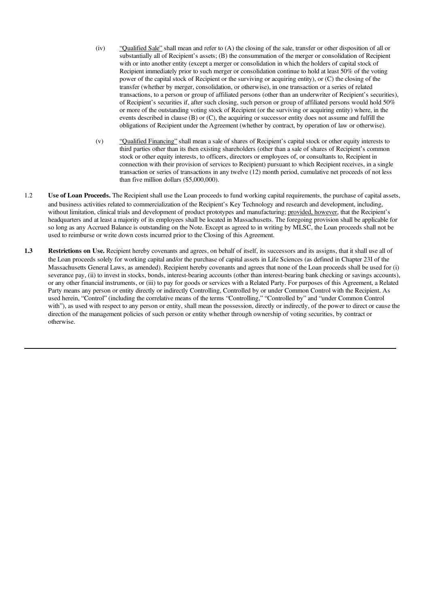- (iv) "Qualified Sale" shall mean and refer to (A) the closing of the sale, transfer or other disposition of all or substantially all of Recipient's assets; (B) the consummation of the merger or consolidation of Recipient with or into another entity (except a merger or consolidation in which the holders of capital stock of Recipient immediately prior to such merger or consolidation continue to hold at least 50% of the voting power of the capital stock of Recipient or the surviving or acquiring entity), or (C) the closing of the transfer (whether by merger, consolidation, or otherwise), in one transaction or a series of related transactions, to a person or group of affiliated persons (other than an underwriter of Recipient's securities), of Recipient's securities if, after such closing, such person or group of affiliated persons would hold 50% or more of the outstanding voting stock of Recipient (or the surviving or acquiring entity) where, in the events described in clause (B) or (C), the acquiring or successor entity does not assume and fulfill the obligations of Recipient under the Agreement (whether by contract, by operation of law or otherwise).
- (v) "Qualified Financing" shall mean a sale of shares of Recipient's capital stock or other equity interests to third parties other than its then existing shareholders (other than a sale of shares of Recipient's common stock or other equity interests, to officers, directors or employees of, or consultants to, Recipient in connection with their provision of services to Recipient) pursuant to which Recipient receives, in a single transaction or series of transactions in any twelve (12) month period, cumulative net proceeds of not less than five million dollars (\$5,000,000).
- 1.2 Use of Loan Proceeds. The Recipient shall use the Loan proceeds to fund working capital requirements, the purchase of capital assets, and business activities related to commercialization of the Recipient's Key Technology and research and development, including, without limitation, clinical trials and development of product prototypes and manufacturing; provided, however, that the Recipient's headquarters and at least a majority of its employees shall be located in Massachusetts. The foregoing provision shall be applicable for so long as any Accrued Balance is outstanding on the Note. Except as agreed to in writing by MLSC, the Loan proceeds shall not be used to reimburse or write down costs incurred prior to the Closing of this Agreement.
- 1.3 Restrictions on Use. Recipient hereby covenants and agrees, on behalf of itself, its successors and its assigns, that it shall use all of the Loan proceeds solely for working capital and/or the purchase of capital assets in Life Sciences (as defined in Chapter 23I of the Massachusetts General Laws, as amended). Recipient hereby covenants and agrees that none of the Loan proceeds shall be used for (i) severance pay, (ii) to invest in stocks, bonds, interest-bearing accounts (other than interest-bearing bank checking or savings accounts), or any other financial instruments, or (iii) to pay for goods or services with a Related Party. For purposes of this Agreement, a Related Party means any person or entity directly or indirectly Controlling, Controlled by or under Common Control with the Recipient. As used herein, "Control" (including the correlative means of the terms "Controlling," "Controlled by" and "under Common Control with"), as used with respect to any person or entity, shall mean the possession, directly or indirectly, of the power to direct or cause the direction of the management policies of such person or entity whether through ownership of voting securities, by contract or otherwise.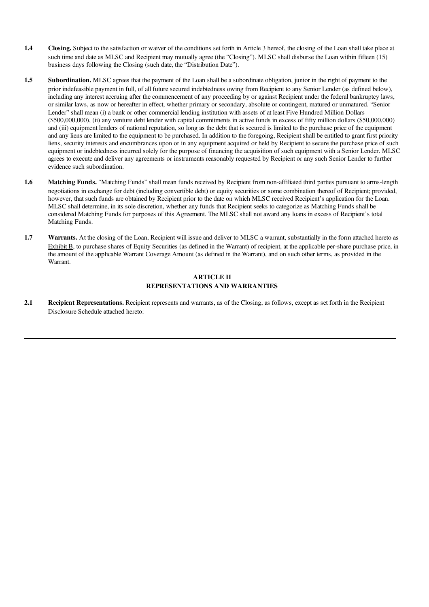- 1.4 Closing. Subject to the satisfaction or waiver of the conditions set forth in Article 3 hereof, the closing of the Loan shall take place at such time and date as MLSC and Recipient may mutually agree (the "Closing"). MLSC shall disburse the Loan within fifteen (15) business days following the Closing (such date, the "Distribution Date").
- 1.5 Subordination. MLSC agrees that the payment of the Loan shall be a subordinate obligation, junior in the right of payment to the prior indefeasible payment in full, of all future secured indebtedness owing from Recipient to any Senior Lender (as defined below), including any interest accruing after the commencement of any proceeding by or against Recipient under the federal bankruptcy laws, or similar laws, as now or hereafter in effect, whether primary or secondary, absolute or contingent, matured or unmatured. "Senior Lender" shall mean (i) a bank or other commercial lending institution with assets of at least Five Hundred Million Dollars (\$500,000,000), (ii) any venture debt lender with capital commitments in active funds in excess of fifty million dollars (\$50,000,000) and (iii) equipment lenders of national reputation, so long as the debt that is secured is limited to the purchase price of the equipment and any liens are limited to the equipment to be purchased. In addition to the foregoing, Recipient shall be entitled to grant first priority liens, security interests and encumbrances upon or in any equipment acquired or held by Recipient to secure the purchase price of such equipment or indebtedness incurred solely for the purpose of financing the acquisition of such equipment with a Senior Lender. MLSC agrees to execute and deliver any agreements or instruments reasonably requested by Recipient or any such Senior Lender to further evidence such subordination.
- 1.6 Matching Funds. "Matching Funds" shall mean funds received by Recipient from non-affiliated third parties pursuant to arms-length negotiations in exchange for debt (including convertible debt) or equity securities or some combination thereof of Recipient; provided, however, that such funds are obtained by Recipient prior to the date on which MLSC received Recipient's application for the Loan. MLSC shall determine, in its sole discretion, whether any funds that Recipient seeks to categorize as Matching Funds shall be considered Matching Funds for purposes of this Agreement. The MLSC shall not award any loans in excess of Recipient's total Matching Funds.
- 1.7 Warrants. At the closing of the Loan, Recipient will issue and deliver to MLSC a warrant, substantially in the form attached hereto as Exhibit B, to purchase shares of Equity Securities (as defined in the Warrant) of recipient, at the applicable per-share purchase price, in the amount of the applicable Warrant Coverage Amount (as defined in the Warrant), and on such other terms, as provided in the Warrant.

### ARTICLE II REPRESENTATIONS AND WARRANTIES

2.1 Recipient Representations. Recipient represents and warrants, as of the Closing, as follows, except as set forth in the Recipient Disclosure Schedule attached hereto: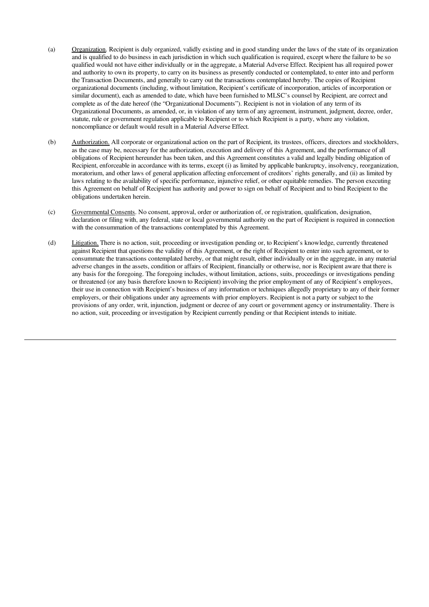- (a) Organization. Recipient is duly organized, validly existing and in good standing under the laws of the state of its organization and is qualified to do business in each jurisdiction in which such qualification is required, except where the failure to be so qualified would not have either individually or in the aggregate, a Material Adverse Effect. Recipient has all required power and authority to own its property, to carry on its business as presently conducted or contemplated, to enter into and perform the Transaction Documents, and generally to carry out the transactions contemplated hereby. The copies of Recipient organizational documents (including, without limitation, Recipient's certificate of incorporation, articles of incorporation or similar document), each as amended to date, which have been furnished to MLSC's counsel by Recipient, are correct and complete as of the date hereof (the "Organizational Documents"). Recipient is not in violation of any term of its Organizational Documents, as amended, or, in violation of any term of any agreement, instrument, judgment, decree, order, statute, rule or government regulation applicable to Recipient or to which Recipient is a party, where any violation, noncompliance or default would result in a Material Adverse Effect.
- (b) Authorization. All corporate or organizational action on the part of Recipient, its trustees, officers, directors and stockholders, as the case may be, necessary for the authorization, execution and delivery of this Agreement, and the performance of all obligations of Recipient hereunder has been taken, and this Agreement constitutes a valid and legally binding obligation of Recipient, enforceable in accordance with its terms, except (i) as limited by applicable bankruptcy, insolvency, reorganization, moratorium, and other laws of general application affecting enforcement of creditors' rights generally, and (ii) as limited by laws relating to the availability of specific performance, injunctive relief, or other equitable remedies. The person executing this Agreement on behalf of Recipient has authority and power to sign on behalf of Recipient and to bind Recipient to the obligations undertaken herein.
- (c) Governmental Consents. No consent, approval, order or authorization of, or registration, qualification, designation, declaration or filing with, any federal, state or local governmental authority on the part of Recipient is required in connection with the consummation of the transactions contemplated by this Agreement.
- (d) Litigation. There is no action, suit, proceeding or investigation pending or, to Recipient's knowledge, currently threatened against Recipient that questions the validity of this Agreement, or the right of Recipient to enter into such agreement, or to consummate the transactions contemplated hereby, or that might result, either individually or in the aggregate, in any material adverse changes in the assets, condition or affairs of Recipient, financially or otherwise, nor is Recipient aware that there is any basis for the foregoing. The foregoing includes, without limitation, actions, suits, proceedings or investigations pending or threatened (or any basis therefore known to Recipient) involving the prior employment of any of Recipient's employees, their use in connection with Recipient's business of any information or techniques allegedly proprietary to any of their former employers, or their obligations under any agreements with prior employers. Recipient is not a party or subject to the provisions of any order, writ, injunction, judgment or decree of any court or government agency or instrumentality. There is no action, suit, proceeding or investigation by Recipient currently pending or that Recipient intends to initiate.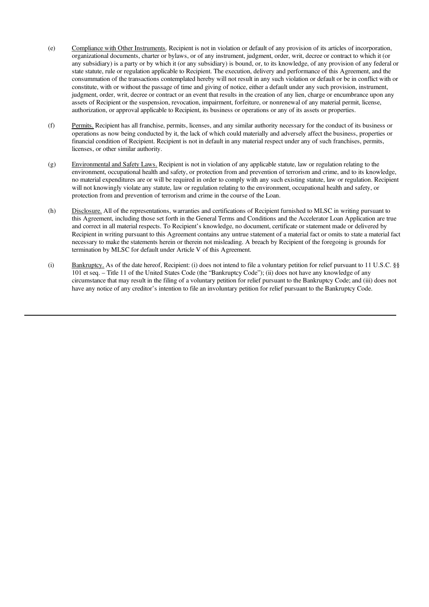- (e) Compliance with Other Instruments. Recipient is not in violation or default of any provision of its articles of incorporation, organizational documents, charter or bylaws, or of any instrument, judgment, order, writ, decree or contract to which it (or any subsidiary) is a party or by which it (or any subsidiary) is bound, or, to its knowledge, of any provision of any federal or state statute, rule or regulation applicable to Recipient. The execution, delivery and performance of this Agreement, and the consummation of the transactions contemplated hereby will not result in any such violation or default or be in conflict with or constitute, with or without the passage of time and giving of notice, either a default under any such provision, instrument, judgment, order, writ, decree or contract or an event that results in the creation of any lien, charge or encumbrance upon any assets of Recipient or the suspension, revocation, impairment, forfeiture, or nonrenewal of any material permit, license, authorization, or approval applicable to Recipient, its business or operations or any of its assets or properties.
- (f) Permits. Recipient has all franchise, permits, licenses, and any similar authority necessary for the conduct of its business or operations as now being conducted by it, the lack of which could materially and adversely affect the business, properties or financial condition of Recipient. Recipient is not in default in any material respect under any of such franchises, permits, licenses, or other similar authority.
- (g) Environmental and Safety Laws. Recipient is not in violation of any applicable statute, law or regulation relating to the environment, occupational health and safety, or protection from and prevention of terrorism and crime, and to its knowledge, no material expenditures are or will be required in order to comply with any such existing statute, law or regulation. Recipient will not knowingly violate any statute, law or regulation relating to the environment, occupational health and safety, or protection from and prevention of terrorism and crime in the course of the Loan.
- (h) Disclosure. All of the representations, warranties and certifications of Recipient furnished to MLSC in writing pursuant to this Agreement, including those set forth in the General Terms and Conditions and the Accelerator Loan Application are true and correct in all material respects. To Recipient's knowledge, no document, certificate or statement made or delivered by Recipient in writing pursuant to this Agreement contains any untrue statement of a material fact or omits to state a material fact necessary to make the statements herein or therein not misleading. A breach by Recipient of the foregoing is grounds for termination by MLSC for default under Article V of this Agreement.
- (i) Bankruptcy. As of the date hereof, Recipient: (i) does not intend to file a voluntary petition for relief pursuant to 11 U.S.C. §§ 101 et seq. – Title 11 of the United States Code (the "Bankruptcy Code"); (ii) does not have any knowledge of any circumstance that may result in the filing of a voluntary petition for relief pursuant to the Bankruptcy Code; and (iii) does not have any notice of any creditor's intention to file an involuntary petition for relief pursuant to the Bankruptcy Code.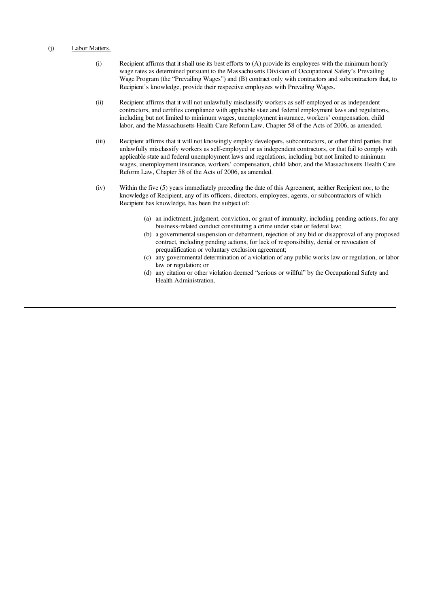#### (j) Labor Matters.

- (i) Recipient affirms that it shall use its best efforts to (A) provide its employees with the minimum hourly wage rates as determined pursuant to the Massachusetts Division of Occupational Safety's Prevailing Wage Program (the "Prevailing Wages") and (B) contract only with contractors and subcontractors that, to Recipient's knowledge, provide their respective employees with Prevailing Wages.
- (ii) Recipient affirms that it will not unlawfully misclassify workers as self-employed or as independent contractors, and certifies compliance with applicable state and federal employment laws and regulations, including but not limited to minimum wages, unemployment insurance, workers' compensation, child labor, and the Massachusetts Health Care Reform Law, Chapter 58 of the Acts of 2006, as amended.
- (iii) Recipient affirms that it will not knowingly employ developers, subcontractors, or other third parties that unlawfully misclassify workers as self-employed or as independent contractors, or that fail to comply with applicable state and federal unemployment laws and regulations, including but not limited to minimum wages, unemployment insurance, workers' compensation, child labor, and the Massachusetts Health Care Reform Law, Chapter 58 of the Acts of 2006, as amended.
- (iv) Within the five (5) years immediately preceding the date of this Agreement, neither Recipient nor, to the knowledge of Recipient, any of its officers, directors, employees, agents, or subcontractors of which Recipient has knowledge, has been the subject of:
	- (a) an indictment, judgment, conviction, or grant of immunity, including pending actions, for any business-related conduct constituting a crime under state or federal law;
	- (b) a governmental suspension or debarment, rejection of any bid or disapproval of any proposed contract, including pending actions, for lack of responsibility, denial or revocation of prequalification or voluntary exclusion agreement;
	- (c) any governmental determination of a violation of any public works law or regulation, or labor law or regulation; or
	- (d) any citation or other violation deemed "serious or willful" by the Occupational Safety and Health Administration.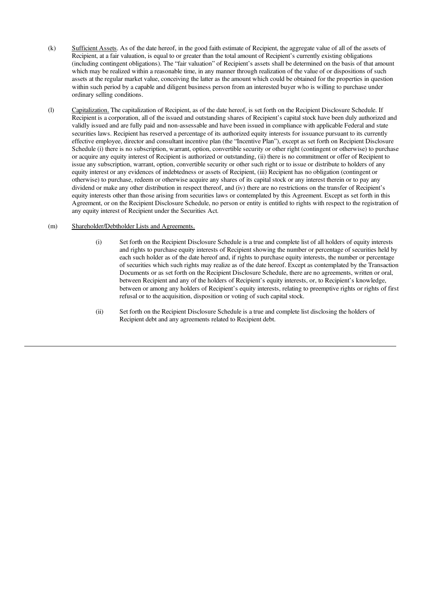- (k) Sufficient Assets. As of the date hereof, in the good faith estimate of Recipient, the aggregate value of all of the assets of Recipient, at a fair valuation, is equal to or greater than the total amount of Recipient's currently existing obligations (including contingent obligations). The "fair valuation" of Recipient's assets shall be determined on the basis of that amount which may be realized within a reasonable time, in any manner through realization of the value of or dispositions of such assets at the regular market value, conceiving the latter as the amount which could be obtained for the properties in question within such period by a capable and diligent business person from an interested buyer who is willing to purchase under ordinary selling conditions.
- (l) Capitalization. The capitalization of Recipient, as of the date hereof, is set forth on the Recipient Disclosure Schedule. If Recipient is a corporation, all of the issued and outstanding shares of Recipient's capital stock have been duly authorized and validly issued and are fully paid and non-assessable and have been issued in compliance with applicable Federal and state securities laws. Recipient has reserved a percentage of its authorized equity interests for issuance pursuant to its currently effective employee, director and consultant incentive plan (the "Incentive Plan"), except as set forth on Recipient Disclosure Schedule (i) there is no subscription, warrant, option, convertible security or other right (contingent or otherwise) to purchase or acquire any equity interest of Recipient is authorized or outstanding, (ii) there is no commitment or offer of Recipient to issue any subscription, warrant, option, convertible security or other such right or to issue or distribute to holders of any equity interest or any evidences of indebtedness or assets of Recipient, (iii) Recipient has no obligation (contingent or otherwise) to purchase, redeem or otherwise acquire any shares of its capital stock or any interest therein or to pay any dividend or make any other distribution in respect thereof, and (iv) there are no restrictions on the transfer of Recipient's equity interests other than those arising from securities laws or contemplated by this Agreement. Except as set forth in this Agreement, or on the Recipient Disclosure Schedule, no person or entity is entitled to rights with respect to the registration of any equity interest of Recipient under the Securities Act.

#### (m) Shareholder/Debtholder Lists and Agreements.

- (i) Set forth on the Recipient Disclosure Schedule is a true and complete list of all holders of equity interests and rights to purchase equity interests of Recipient showing the number or percentage of securities held by each such holder as of the date hereof and, if rights to purchase equity interests, the number or percentage of securities which such rights may realize as of the date hereof. Except as contemplated by the Transaction Documents or as set forth on the Recipient Disclosure Schedule, there are no agreements, written or oral, between Recipient and any of the holders of Recipient's equity interests, or, to Recipient's knowledge, between or among any holders of Recipient's equity interests, relating to preemptive rights or rights of first refusal or to the acquisition, disposition or voting of such capital stock.
- (ii) Set forth on the Recipient Disclosure Schedule is a true and complete list disclosing the holders of Recipient debt and any agreements related to Recipient debt.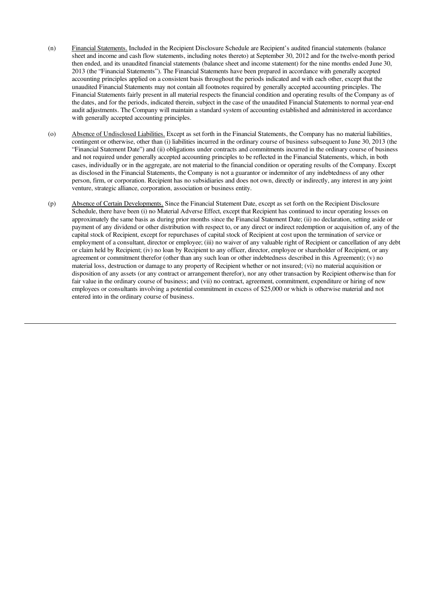- (n) Financial Statements. Included in the Recipient Disclosure Schedule are Recipient's audited financial statements (balance sheet and income and cash flow statements, including notes thereto) at September 30, 2012 and for the twelve-month period then ended, and its unaudited financial statements (balance sheet and income statement) for the nine months ended June 30, 2013 (the "Financial Statements"). The Financial Statements have been prepared in accordance with generally accepted accounting principles applied on a consistent basis throughout the periods indicated and with each other, except that the unaudited Financial Statements may not contain all footnotes required by generally accepted accounting principles. The Financial Statements fairly present in all material respects the financial condition and operating results of the Company as of the dates, and for the periods, indicated therein, subject in the case of the unaudited Financial Statements to normal year-end audit adjustments. The Company will maintain a standard system of accounting established and administered in accordance with generally accepted accounting principles.
- (o) Absence of Undisclosed Liabilities. Except as set forth in the Financial Statements, the Company has no material liabilities, contingent or otherwise, other than (i) liabilities incurred in the ordinary course of business subsequent to June 30, 2013 (the "Financial Statement Date") and (ii) obligations under contracts and commitments incurred in the ordinary course of business and not required under generally accepted accounting principles to be reflected in the Financial Statements, which, in both cases, individually or in the aggregate, are not material to the financial condition or operating results of the Company. Except as disclosed in the Financial Statements, the Company is not a guarantor or indemnitor of any indebtedness of any other person, firm, or corporation. Recipient has no subsidiaries and does not own, directly or indirectly, any interest in any joint venture, strategic alliance, corporation, association or business entity.
- (p) Absence of Certain Developments. Since the Financial Statement Date, except as set forth on the Recipient Disclosure Schedule, there have been (i) no Material Adverse Effect, except that Recipient has continued to incur operating losses on approximately the same basis as during prior months since the Financial Statement Date; (ii) no declaration, setting aside or payment of any dividend or other distribution with respect to, or any direct or indirect redemption or acquisition of, any of the capital stock of Recipient, except for repurchases of capital stock of Recipient at cost upon the termination of service or employment of a consultant, director or employee; (iii) no waiver of any valuable right of Recipient or cancellation of any debt or claim held by Recipient; (iv) no loan by Recipient to any officer, director, employee or shareholder of Recipient, or any agreement or commitment therefor (other than any such loan or other indebtedness described in this Agreement); (v) no material loss, destruction or damage to any property of Recipient whether or not insured; (vi) no material acquisition or disposition of any assets (or any contract or arrangement therefor), nor any other transaction by Recipient otherwise than for fair value in the ordinary course of business; and (vii) no contract, agreement, commitment, expenditure or hiring of new employees or consultants involving a potential commitment in excess of \$25,000 or which is otherwise material and not entered into in the ordinary course of business.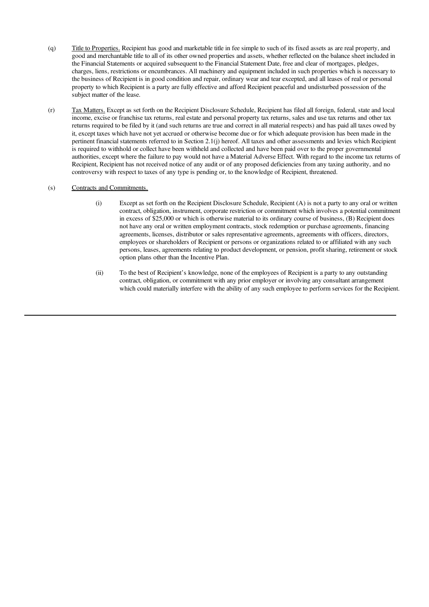- (q) Title to Properties. Recipient has good and marketable title in fee simple to such of its fixed assets as are real property, and good and merchantable title to all of its other owned properties and assets, whether reflected on the balance sheet included in the Financial Statements or acquired subsequent to the Financial Statement Date, free and clear of mortgages, pledges, charges, liens, restrictions or encumbrances. All machinery and equipment included in such properties which is necessary to the business of Recipient is in good condition and repair, ordinary wear and tear excepted, and all leases of real or personal property to which Recipient is a party are fully effective and afford Recipient peaceful and undisturbed possession of the subject matter of the lease.
- (r) Tax Matters. Except as set forth on the Recipient Disclosure Schedule, Recipient has filed all foreign, federal, state and local income, excise or franchise tax returns, real estate and personal property tax returns, sales and use tax returns and other tax returns required to be filed by it (and such returns are true and correct in all material respects) and has paid all taxes owed by it, except taxes which have not yet accrued or otherwise become due or for which adequate provision has been made in the pertinent financial statements referred to in Section 2.1(j) hereof. All taxes and other assessments and levies which Recipient is required to withhold or collect have been withheld and collected and have been paid over to the proper governmental authorities, except where the failure to pay would not have a Material Adverse Effect. With regard to the income tax returns of Recipient, Recipient has not received notice of any audit or of any proposed deficiencies from any taxing authority, and no controversy with respect to taxes of any type is pending or, to the knowledge of Recipient, threatened.

#### (s) Contracts and Commitments.

- (i) Except as set forth on the Recipient Disclosure Schedule, Recipient (A) is not a party to any oral or written contract, obligation, instrument, corporate restriction or commitment which involves a potential commitment in excess of \$25,000 or which is otherwise material to its ordinary course of business, (B) Recipient does not have any oral or written employment contracts, stock redemption or purchase agreements, financing agreements, licenses, distributor or sales representative agreements, agreements with officers, directors, employees or shareholders of Recipient or persons or organizations related to or affiliated with any such persons, leases, agreements relating to product development, or pension, profit sharing, retirement or stock option plans other than the Incentive Plan.
- (ii) To the best of Recipient's knowledge, none of the employees of Recipient is a party to any outstanding contract, obligation, or commitment with any prior employer or involving any consultant arrangement which could materially interfere with the ability of any such employee to perform services for the Recipient.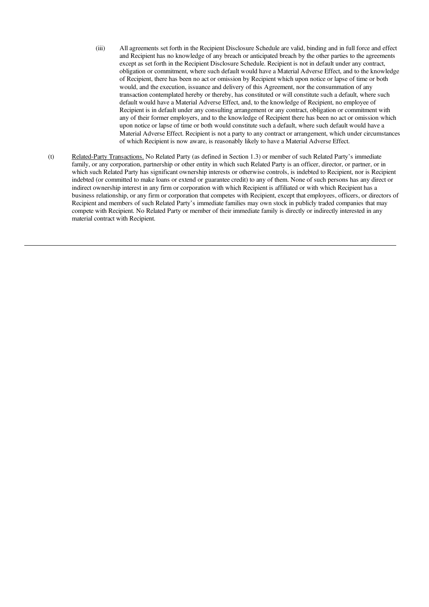- (iii) All agreements set forth in the Recipient Disclosure Schedule are valid, binding and in full force and effect and Recipient has no knowledge of any breach or anticipated breach by the other parties to the agreements except as set forth in the Recipient Disclosure Schedule. Recipient is not in default under any contract, obligation or commitment, where such default would have a Material Adverse Effect, and to the knowledge of Recipient, there has been no act or omission by Recipient which upon notice or lapse of time or both would, and the execution, issuance and delivery of this Agreement, nor the consummation of any transaction contemplated hereby or thereby, has constituted or will constitute such a default, where such default would have a Material Adverse Effect, and, to the knowledge of Recipient, no employee of Recipient is in default under any consulting arrangement or any contract, obligation or commitment with any of their former employers, and to the knowledge of Recipient there has been no act or omission which upon notice or lapse of time or both would constitute such a default, where such default would have a Material Adverse Effect. Recipient is not a party to any contract or arrangement, which under circumstances of which Recipient is now aware, is reasonably likely to have a Material Adverse Effect.
- (t) Related-Party Transactions. No Related Party (as defined in Section 1.3) or member of such Related Party's immediate family, or any corporation, partnership or other entity in which such Related Party is an officer, director, or partner, or in which such Related Party has significant ownership interests or otherwise controls, is indebted to Recipient, nor is Recipient indebted (or committed to make loans or extend or guarantee credit) to any of them. None of such persons has any direct or indirect ownership interest in any firm or corporation with which Recipient is affiliated or with which Recipient has a business relationship, or any firm or corporation that competes with Recipient, except that employees, officers, or directors of Recipient and members of such Related Party's immediate families may own stock in publicly traded companies that may compete with Recipient. No Related Party or member of their immediate family is directly or indirectly interested in any material contract with Recipient.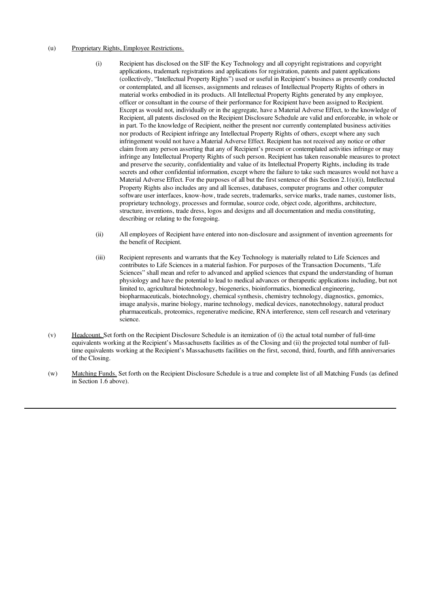#### (u) Proprietary Rights, Employee Restrictions.

- (i) Recipient has disclosed on the SIF the Key Technology and all copyright registrations and copyright applications, trademark registrations and applications for registration, patents and patent applications (collectively, "Intellectual Property Rights") used or useful in Recipient's business as presently conducted or contemplated, and all licenses, assignments and releases of Intellectual Property Rights of others in material works embodied in its products. All Intellectual Property Rights generated by any employee, officer or consultant in the course of their performance for Recipient have been assigned to Recipient. Except as would not, individually or in the aggregate, have a Material Adverse Effect, to the knowledge of Recipient, all patents disclosed on the Recipient Disclosure Schedule are valid and enforceable, in whole or in part. To the knowledge of Recipient, neither the present nor currently contemplated business activities nor products of Recipient infringe any Intellectual Property Rights of others, except where any such infringement would not have a Material Adverse Effect. Recipient has not received any notice or other claim from any person asserting that any of Recipient's present or contemplated activities infringe or may infringe any Intellectual Property Rights of such person. Recipient has taken reasonable measures to protect and preserve the security, confidentiality and value of its Intellectual Property Rights, including its trade secrets and other confidential information, except where the failure to take such measures would not have a Material Adverse Effect. For the purposes of all but the first sentence of this Section 2.1(u)(i), Intellectual Property Rights also includes any and all licenses, databases, computer programs and other computer software user interfaces, know-how, trade secrets, trademarks, service marks, trade names, customer lists, proprietary technology, processes and formulae, source code, object code, algorithms, architecture, structure, inventions, trade dress, logos and designs and all documentation and media constituting, describing or relating to the foregoing.
- (ii) All employees of Recipient have entered into non-disclosure and assignment of invention agreements for the benefit of Recipient.
- (iii) Recipient represents and warrants that the Key Technology is materially related to Life Sciences and contributes to Life Sciences in a material fashion. For purposes of the Transaction Documents, "Life Sciences" shall mean and refer to advanced and applied sciences that expand the understanding of human physiology and have the potential to lead to medical advances or therapeutic applications including, but not limited to, agricultural biotechnology, biogenerics, bioinformatics, biomedical engineering, biopharmaceuticals, biotechnology, chemical synthesis, chemistry technology, diagnostics, genomics, image analysis, marine biology, marine technology, medical devices, nanotechnology, natural product pharmaceuticals, proteomics, regenerative medicine, RNA interference, stem cell research and veterinary science.
- (v) Headcount. Set forth on the Recipient Disclosure Schedule is an itemization of (i) the actual total number of full-time equivalents working at the Recipient's Massachusetts facilities as of the Closing and (ii) the projected total number of fulltime equivalents working at the Recipient's Massachusetts facilities on the first, second, third, fourth, and fifth anniversaries of the Closing.
- (w) Matching Funds. Set forth on the Recipient Disclosure Schedule is a true and complete list of all Matching Funds (as defined in Section 1.6 above).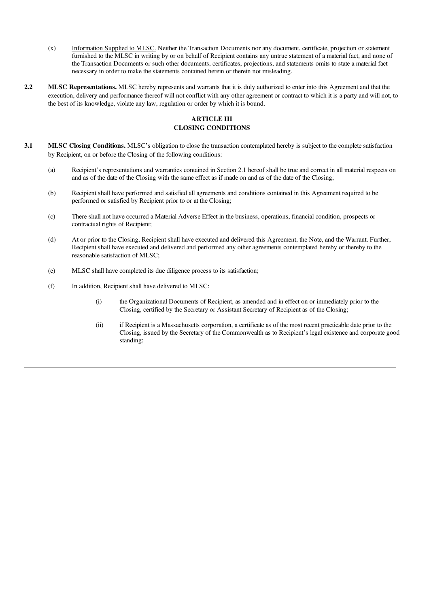- (x) Information Supplied to MLSC. Neither the Transaction Documents nor any document, certificate, projection or statement furnished to the MLSC in writing by or on behalf of Recipient contains any untrue statement of a material fact, and none of the Transaction Documents or such other documents, certificates, projections, and statements omits to state a material fact necessary in order to make the statements contained herein or therein not misleading.
- 2.2 MLSC Representations. MLSC hereby represents and warrants that it is duly authorized to enter into this Agreement and that the execution, delivery and performance thereof will not conflict with any other agreement or contract to which it is a party and will not, to the best of its knowledge, violate any law, regulation or order by which it is bound.

# ARTICLE III CLOSING CONDITIONS

- 3.1 MLSC Closing Conditions. MLSC's obligation to close the transaction contemplated hereby is subject to the complete satisfaction by Recipient, on or before the Closing of the following conditions:
	- (a) Recipient's representations and warranties contained in Section 2.1 hereof shall be true and correct in all material respects on and as of the date of the Closing with the same effect as if made on and as of the date of the Closing;
	- (b) Recipient shall have performed and satisfied all agreements and conditions contained in this Agreement required to be performed or satisfied by Recipient prior to or at the Closing;
	- (c) There shall not have occurred a Material Adverse Effect in the business, operations, financial condition, prospects or contractual rights of Recipient;
	- (d) At or prior to the Closing, Recipient shall have executed and delivered this Agreement, the Note, and the Warrant. Further, Recipient shall have executed and delivered and performed any other agreements contemplated hereby or thereby to the reasonable satisfaction of MLSC;
	- (e) MLSC shall have completed its due diligence process to its satisfaction;
	- (f) In addition, Recipient shall have delivered to MLSC:
		- (i) the Organizational Documents of Recipient, as amended and in effect on or immediately prior to the Closing, certified by the Secretary or Assistant Secretary of Recipient as of the Closing;
		- (ii) if Recipient is a Massachusetts corporation, a certificate as of the most recent practicable date prior to the Closing, issued by the Secretary of the Commonwealth as to Recipient's legal existence and corporate good standing;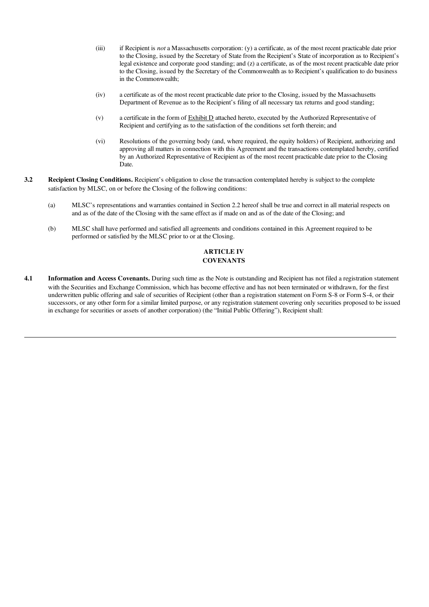- (iii) if Recipient is *not* a Massachusetts corporation: (y) a certificate, as of the most recent practicable date prior to the Closing, issued by the Secretary of State from the Recipient's State of incorporation as to Recipient's legal existence and corporate good standing; and (z) a certificate, as of the most recent practicable date prior to the Closing, issued by the Secretary of the Commonwealth as to Recipient's qualification to do business in the Commonwealth;
- (iv) a certificate as of the most recent practicable date prior to the Closing, issued by the Massachusetts Department of Revenue as to the Recipient's filing of all necessary tax returns and good standing;
- (v) a certificate in the form of Exhibit D attached hereto, executed by the Authorized Representative of Recipient and certifying as to the satisfaction of the conditions set forth therein; and
- (vi) Resolutions of the governing body (and, where required, the equity holders) of Recipient, authorizing and approving all matters in connection with this Agreement and the transactions contemplated hereby, certified by an Authorized Representative of Recipient as of the most recent practicable date prior to the Closing Date.
- 3.2 Recipient Closing Conditions. Recipient's obligation to close the transaction contemplated hereby is subject to the complete satisfaction by MLSC, on or before the Closing of the following conditions:
	- (a) MLSC's representations and warranties contained in Section 2.2 hereof shall be true and correct in all material respects on and as of the date of the Closing with the same effect as if made on and as of the date of the Closing; and
	- (b) MLSC shall have performed and satisfied all agreements and conditions contained in this Agreement required to be performed or satisfied by the MLSC prior to or at the Closing.

# ARTICLE IV **COVENANTS**

4.1 Information and Access Covenants. During such time as the Note is outstanding and Recipient has not filed a registration statement with the Securities and Exchange Commission, which has become effective and has not been terminated or withdrawn, for the first underwritten public offering and sale of securities of Recipient (other than a registration statement on Form S-8 or Form S-4, or their successors, or any other form for a similar limited purpose, or any registration statement covering only securities proposed to be issued in exchange for securities or assets of another corporation) (the "Initial Public Offering"), Recipient shall: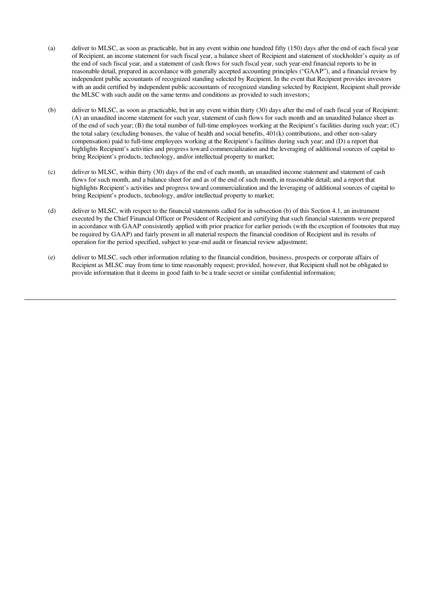- (a) deliver to MLSC, as soon as practicable, but in any event within one hundred fifty (150) days after the end of each fiscal year of Recipient, an income statement for such fiscal year, a balance sheet of Recipient and statement of stockholder's equity as of the end of such fiscal year, and a statement of cash flows for such fiscal year, such year-end financial reports to be in reasonable detail, prepared in accordance with generally accepted accounting principles ("GAAP"), and a financial review by independent public accountants of recognized standing selected by Recipient. In the event that Recipient provides investors with an audit certified by independent public accountants of recognized standing selected by Recipient, Recipient shall provide the MLSC with such audit on the same terms and conditions as provided to such investors;
- (b) deliver to MLSC, as soon as practicable, but in any event within thirty (30) days after the end of each fiscal year of Recipient: (A) an unaudited income statement for such year, statement of cash flows for such month and an unaudited balance sheet as of the end of such year; (B) the total number of full-time employees working at the Recipient's facilities during such year; (C) the total salary (excluding bonuses, the value of health and social benefits, 401(k) contributions, and other non-salary compensation) paid to full-time employees working at the Recipient's facilities during such year; and (D) a report that highlights Recipient's activities and progress toward commercialization and the leveraging of additional sources of capital to bring Recipient's products, technology, and/or intellectual property to market;
- (c) deliver to MLSC, within thirty (30) days of the end of each month, an unaudited income statement and statement of cash flows for such month, and a balance sheet for and as of the end of such month, in reasonable detail; and a report that highlights Recipient's activities and progress toward commercialization and the leveraging of additional sources of capital to bring Recipient's products, technology, and/or intellectual property to market;
- (d) deliver to MLSC, with respect to the financial statements called for in subsection (b) of this Section 4.1, an instrument executed by the Chief Financial Officer or President of Recipient and certifying that such financial statements were prepared in accordance with GAAP consistently applied with prior practice for earlier periods (with the exception of footnotes that may be required by GAAP) and fairly present in all material respects the financial condition of Recipient and its results of operation for the period specified, subject to year-end audit or financial review adjustment;
- (e) deliver to MLSC, such other information relating to the financial condition, business, prospects or corporate affairs of Recipient as MLSC may from time to time reasonably request; provided, however, that Recipient shall not be obligated to provide information that it deems in good faith to be a trade secret or similar confidential information;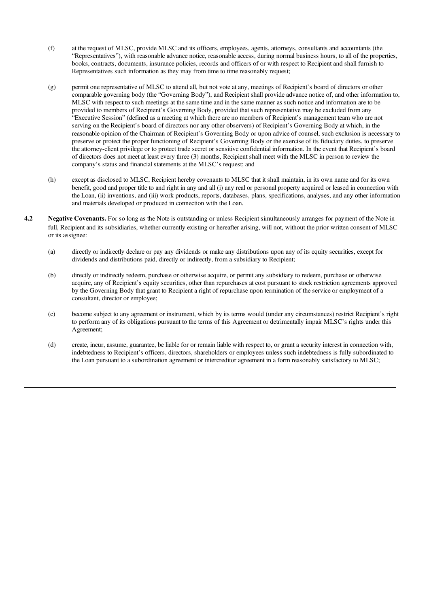- (f) at the request of MLSC, provide MLSC and its officers, employees, agents, attorneys, consultants and accountants (the "Representatives"), with reasonable advance notice, reasonable access, during normal business hours, to all of the properties, books, contracts, documents, insurance policies, records and officers of or with respect to Recipient and shall furnish to Representatives such information as they may from time to time reasonably request;
- (g) permit one representative of MLSC to attend all, but not vote at any, meetings of Recipient's board of directors or other comparable governing body (the "Governing Body"), and Recipient shall provide advance notice of, and other information to, MLSC with respect to such meetings at the same time and in the same manner as such notice and information are to be provided to members of Recipient's Governing Body, provided that such representative may be excluded from any "Executive Session" (defined as a meeting at which there are no members of Recipient's management team who are not serving on the Recipient's board of directors nor any other observers) of Recipient's Governing Body at which, in the reasonable opinion of the Chairman of Recipient's Governing Body or upon advice of counsel, such exclusion is necessary to preserve or protect the proper functioning of Recipient's Governing Body or the exercise of its fiduciary duties, to preserve the attorney-client privilege or to protect trade secret or sensitive confidential information. In the event that Recipient's board of directors does not meet at least every three (3) months, Recipient shall meet with the MLSC in person to review the company's status and financial statements at the MLSC's request; and
- (h) except as disclosed to MLSC, Recipient hereby covenants to MLSC that it shall maintain, in its own name and for its own benefit, good and proper title to and right in any and all (i) any real or personal property acquired or leased in connection with the Loan, (ii) inventions, and (iii) work products, reports, databases, plans, specifications, analyses, and any other information and materials developed or produced in connection with the Loan.
- **4.2** Negative Covenants. For so long as the Note is outstanding or unless Recipient simultaneously arranges for payment of the Note in full, Recipient and its subsidiaries, whether currently existing or hereafter arising, will not, without the prior written consent of MLSC or its assignee:
	- (a) directly or indirectly declare or pay any dividends or make any distributions upon any of its equity securities, except for dividends and distributions paid, directly or indirectly, from a subsidiary to Recipient;
	- (b) directly or indirectly redeem, purchase or otherwise acquire, or permit any subsidiary to redeem, purchase or otherwise acquire, any of Recipient's equity securities, other than repurchases at cost pursuant to stock restriction agreements approved by the Governing Body that grant to Recipient a right of repurchase upon termination of the service or employment of a consultant, director or employee;
	- (c) become subject to any agreement or instrument, which by its terms would (under any circumstances) restrict Recipient's right to perform any of its obligations pursuant to the terms of this Agreement or detrimentally impair MLSC's rights under this Agreement;
	- (d) create, incur, assume, guarantee, be liable for or remain liable with respect to, or grant a security interest in connection with, indebtedness to Recipient's officers, directors, shareholders or employees unless such indebtedness is fully subordinated to the Loan pursuant to a subordination agreement or intercreditor agreement in a form reasonably satisfactory to MLSC;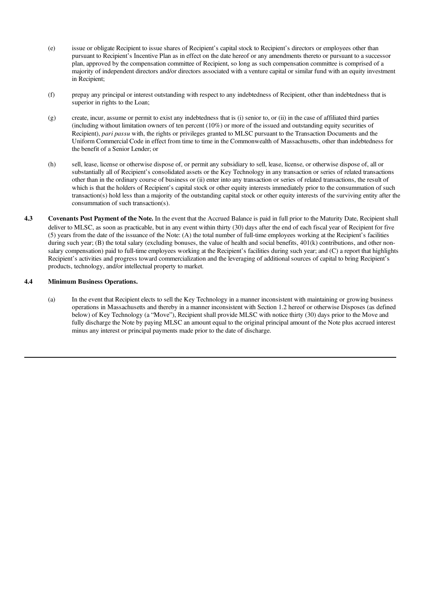- (e) issue or obligate Recipient to issue shares of Recipient's capital stock to Recipient's directors or employees other than pursuant to Recipient's Incentive Plan as in effect on the date hereof or any amendments thereto or pursuant to a successor plan, approved by the compensation committee of Recipient, so long as such compensation committee is comprised of a majority of independent directors and/or directors associated with a venture capital or similar fund with an equity investment in Recipient;
- (f) prepay any principal or interest outstanding with respect to any indebtedness of Recipient, other than indebtedness that is superior in rights to the Loan;
- (g) create, incur, assume or permit to exist any indebtedness that is (i) senior to, or (ii) in the case of affiliated third parties (including without limitation owners of ten percent  $(10\%)$  or more of the issued and outstanding equity securities of Recipient), *pari passu* with, the rights or privileges granted to MLSC pursuant to the Transaction Documents and the Uniform Commercial Code in effect from time to time in the Commonwealth of Massachusetts, other than indebtedness for the benefit of a Senior Lender; or
- (h) sell, lease, license or otherwise dispose of, or permit any subsidiary to sell, lease, license, or otherwise dispose of, all or substantially all of Recipient's consolidated assets or the Key Technology in any transaction or series of related transactions other than in the ordinary course of business or (ii) enter into any transaction or series of related transactions, the result of which is that the holders of Recipient's capital stock or other equity interests immediately prior to the consummation of such transaction(s) hold less than a majority of the outstanding capital stock or other equity interests of the surviving entity after the consummation of such transaction(s).
- 4.3 Covenants Post Payment of the Note. In the event that the Accrued Balance is paid in full prior to the Maturity Date, Recipient shall deliver to MLSC, as soon as practicable, but in any event within thirty (30) days after the end of each fiscal year of Recipient for five (5) years from the date of the issuance of the Note: (A) the total number of full-time employees working at the Recipient's facilities during such year; (B) the total salary (excluding bonuses, the value of health and social benefits, 401(k) contributions, and other nonsalary compensation) paid to full-time employees working at the Recipient's facilities during such year; and (C) a report that highlights Recipient's activities and progress toward commercialization and the leveraging of additional sources of capital to bring Recipient's products, technology, and/or intellectual property to market.

# 4.4 Minimum Business Operations.

(a) In the event that Recipient elects to sell the Key Technology in a manner inconsistent with maintaining or growing business operations in Massachusetts and thereby in a manner inconsistent with Section 1.2 hereof or otherwise Disposes (as defined below) of Key Technology (a "Move"), Recipient shall provide MLSC with notice thirty (30) days prior to the Move and fully discharge the Note by paying MLSC an amount equal to the original principal amount of the Note plus accrued interest minus any interest or principal payments made prior to the date of discharge.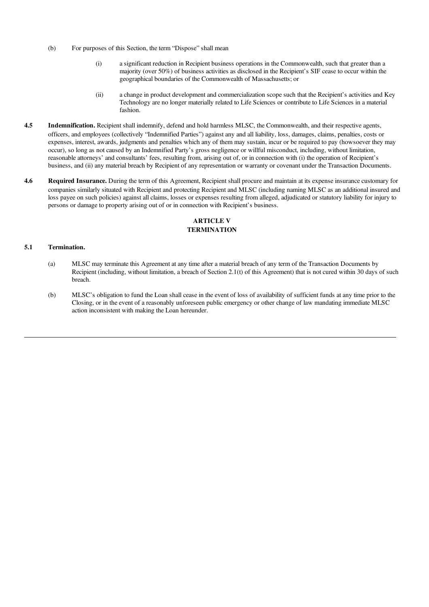- (b) For purposes of this Section, the term "Dispose" shall mean
	- (i) a significant reduction in Recipient business operations in the Commonwealth, such that greater than a majority (over 50%) of business activities as disclosed in the Recipient's SIF cease to occur within the geographical boundaries of the Commonwealth of Massachusetts; or
	- (ii) a change in product development and commercialization scope such that the Recipient's activities and Key Technology are no longer materially related to Life Sciences or contribute to Life Sciences in a material fashion.
- 4.5 Indemnification. Recipient shall indemnify, defend and hold harmless MLSC, the Commonwealth, and their respective agents, officers, and employees (collectively "Indemnified Parties") against any and all liability, loss, damages, claims, penalties, costs or expenses, interest, awards, judgments and penalties which any of them may sustain, incur or be required to pay (howsoever they may occur), so long as not caused by an Indemnified Party's gross negligence or willful misconduct, including, without limitation, reasonable attorneys' and consultants' fees, resulting from, arising out of, or in connection with (i) the operation of Recipient's business, and (ii) any material breach by Recipient of any representation or warranty or covenant under the Transaction Documents.
- 4.6 Required Insurance. During the term of this Agreement, Recipient shall procure and maintain at its expense insurance customary for companies similarly situated with Recipient and protecting Recipient and MLSC (including naming MLSC as an additional insured and loss payee on such policies) against all claims, losses or expenses resulting from alleged, adjudicated or statutory liability for injury to persons or damage to property arising out of or in connection with Recipient's business.

# ARTICLE V **TERMINATION**

#### 5.1 Termination.

- (a) MLSC may terminate this Agreement at any time after a material breach of any term of the Transaction Documents by Recipient (including, without limitation, a breach of Section 2.1(t) of this Agreement) that is not cured within 30 days of such breach.
- (b) MLSC's obligation to fund the Loan shall cease in the event of loss of availability of sufficient funds at any time prior to the Closing, or in the event of a reasonably unforeseen public emergency or other change of law mandating immediate MLSC action inconsistent with making the Loan hereunder.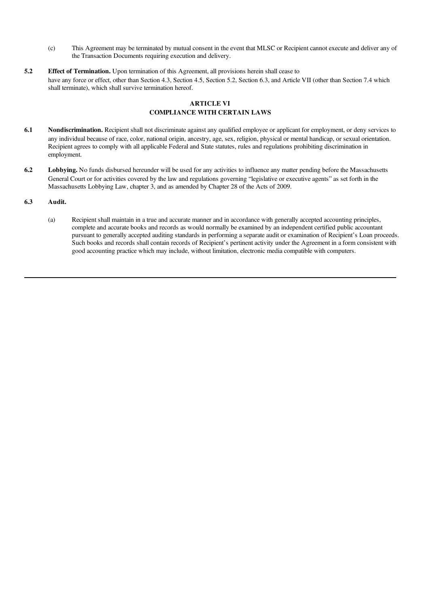- (c) This Agreement may be terminated by mutual consent in the event that MLSC or Recipient cannot execute and deliver any of the Transaction Documents requiring execution and delivery.
- 5.2 Effect of Termination. Upon termination of this Agreement, all provisions herein shall cease to have any force or effect, other than Section 4.3, Section 4.5, Section 5.2, Section 6.3, and Article VII (other than Section 7.4 which shall terminate), which shall survive termination hereof.

# ARTICLE VI COMPLIANCE WITH CERTAIN LAWS

- 6.1 Nondiscrimination. Recipient shall not discriminate against any qualified employee or applicant for employment, or deny services to any individual because of race, color, national origin, ancestry, age, sex, religion, physical or mental handicap, or sexual orientation. Recipient agrees to comply with all applicable Federal and State statutes, rules and regulations prohibiting discrimination in employment.
- 6.2 Lobbying. No funds disbursed hereunder will be used for any activities to influence any matter pending before the Massachusetts General Court or for activities covered by the law and regulations governing "legislative or executive agents" as set forth in the Massachusetts Lobbying Law, chapter 3, and as amended by Chapter 28 of the Acts of 2009.

#### 6.3 Audit.

(a) Recipient shall maintain in a true and accurate manner and in accordance with generally accepted accounting principles, complete and accurate books and records as would normally be examined by an independent certified public accountant pursuant to generally accepted auditing standards in performing a separate audit or examination of Recipient's Loan proceeds. Such books and records shall contain records of Recipient's pertinent activity under the Agreement in a form consistent with good accounting practice which may include, without limitation, electronic media compatible with computers.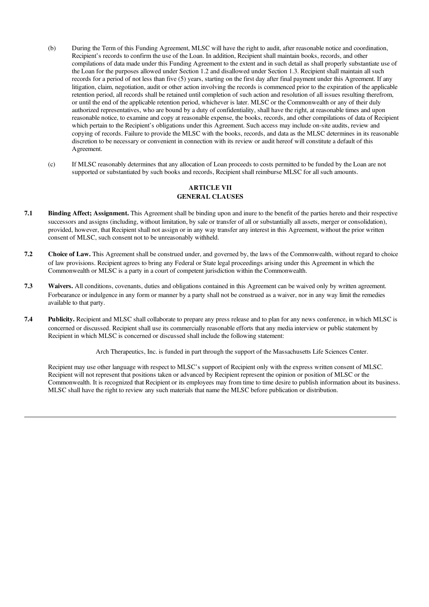- (b) During the Term of this Funding Agreement, MLSC will have the right to audit, after reasonable notice and coordination, Recipient's records to confirm the use of the Loan. In addition, Recipient shall maintain books, records, and other compilations of data made under this Funding Agreement to the extent and in such detail as shall properly substantiate use of the Loan for the purposes allowed under Section 1.2 and disallowed under Section 1.3. Recipient shall maintain all such records for a period of not less than five (5) years, starting on the first day after final payment under this Agreement. If any litigation, claim, negotiation, audit or other action involving the records is commenced prior to the expiration of the applicable retention period, all records shall be retained until completion of such action and resolution of all issues resulting therefrom, or until the end of the applicable retention period, whichever is later. MLSC or the Commonwealth or any of their duly authorized representatives, who are bound by a duty of confidentiality, shall have the right, at reasonable times and upon reasonable notice, to examine and copy at reasonable expense, the books, records, and other compilations of data of Recipient which pertain to the Recipient's obligations under this Agreement. Such access may include on-site audits, review and copying of records. Failure to provide the MLSC with the books, records, and data as the MLSC determines in its reasonable discretion to be necessary or convenient in connection with its review or audit hereof will constitute a default of this Agreement.
- (c) If MLSC reasonably determines that any allocation of Loan proceeds to costs permitted to be funded by the Loan are not supported or substantiated by such books and records, Recipient shall reimburse MLSC for all such amounts.

## ARTICLE VII GENERAL CLAUSES

- 7.1 Binding Affect; Assignment. This Agreement shall be binding upon and inure to the benefit of the parties hereto and their respective successors and assigns (including, without limitation, by sale or transfer of all or substantially all assets, merger or consolidation), provided, however, that Recipient shall not assign or in any way transfer any interest in this Agreement, without the prior written consent of MLSC, such consent not to be unreasonably withheld.
- 7.2 Choice of Law. This Agreement shall be construed under, and governed by, the laws of the Commonwealth, without regard to choice of law provisions. Recipient agrees to bring any Federal or State legal proceedings arising under this Agreement in which the Commonwealth or MLSC is a party in a court of competent jurisdiction within the Commonwealth.
- 7.3 Waivers. All conditions, covenants, duties and obligations contained in this Agreement can be waived only by written agreement. Forbearance or indulgence in any form or manner by a party shall not be construed as a waiver, nor in any way limit the remedies available to that party.
- 7.4 Publicity. Recipient and MLSC shall collaborate to prepare any press release and to plan for any news conference, in which MLSC is concerned or discussed. Recipient shall use its commercially reasonable efforts that any media interview or public statement by Recipient in which MLSC is concerned or discussed shall include the following statement:

Arch Therapeutics, Inc. is funded in part through the support of the Massachusetts Life Sciences Center.

Recipient may use other language with respect to MLSC's support of Recipient only with the express written consent of MLSC. Recipient will not represent that positions taken or advanced by Recipient represent the opinion or position of MLSC or the Commonwealth. It is recognized that Recipient or its employees may from time to time desire to publish information about its business. MLSC shall have the right to review any such materials that name the MLSC before publication or distribution.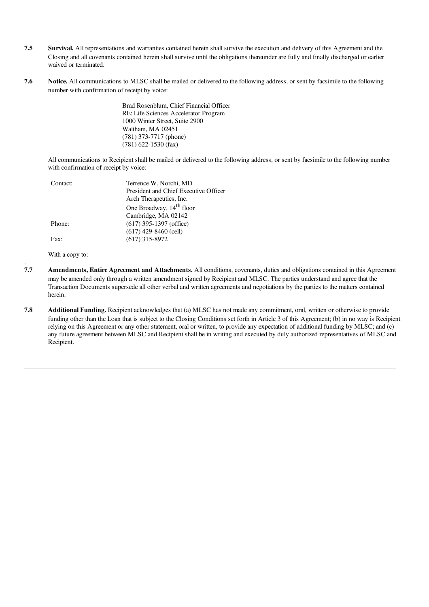- 7.5 Survival. All representations and warranties contained herein shall survive the execution and delivery of this Agreement and the Closing and all covenants contained herein shall survive until the obligations thereunder are fully and finally discharged or earlier waived or terminated.
- 7.6 Notice. All communications to MLSC shall be mailed or delivered to the following address, or sent by facsimile to the following number with confirmation of receipt by voice:

Brad Rosenblum, Chief Financial Officer RE: Life Sciences Accelerator Program 1000 Winter Street, Suite 2900 Waltham, MA 02451 (781) 373-7717 (phone) (781) 622-1530 (fax)

All communications to Recipient shall be mailed or delivered to the following address, or sent by facsimile to the following number with confirmation of receipt by voice:

| President and Chief Executive Officer |
|---------------------------------------|
|                                       |
|                                       |
|                                       |
|                                       |
|                                       |
|                                       |
|                                       |

With a copy to:

.

- 7.7 Amendments, Entire Agreement and Attachments. All conditions, covenants, duties and obligations contained in this Agreement may be amended only through a written amendment signed by Recipient and MLSC. The parties understand and agree that the Transaction Documents supersede all other verbal and written agreements and negotiations by the parties to the matters contained herein.
- 7.8 Additional Funding. Recipient acknowledges that (a) MLSC has not made any commitment, oral, written or otherwise to provide funding other than the Loan that is subject to the Closing Conditions set forth in Article 3 of this Agreement; (b) in no way is Recipient relying on this Agreement or any other statement, oral or written, to provide any expectation of additional funding by MLSC; and (c) any future agreement between MLSC and Recipient shall be in writing and executed by duly authorized representatives of MLSC and Recipient.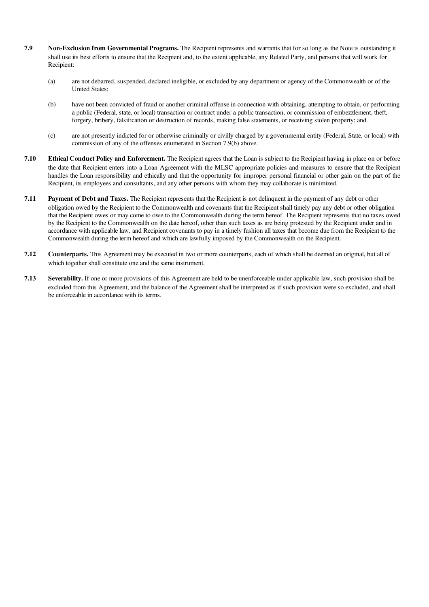- 7.9 Non-Exclusion from Governmental Programs. The Recipient represents and warrants that for so long as the Note is outstanding it shall use its best efforts to ensure that the Recipient and, to the extent applicable, any Related Party, and persons that will work for Recipient:
	- (a) are not debarred, suspended, declared ineligible, or excluded by any department or agency of the Commonwealth or of the United States;
	- (b) have not been convicted of fraud or another criminal offense in connection with obtaining, attempting to obtain, or performing a public (Federal, state, or local) transaction or contract under a public transaction, or commission of embezzlement, theft, forgery, bribery, falsification or destruction of records, making false statements, or receiving stolen property; and
	- (c) are not presently indicted for or otherwise criminally or civilly charged by a governmental entity (Federal, State, or local) with commission of any of the offenses enumerated in Section 7.9(b) above.
- 7.10 Ethical Conduct Policy and Enforcement. The Recipient agrees that the Loan is subject to the Recipient having in place on or before the date that Recipient enters into a Loan Agreement with the MLSC appropriate policies and measures to ensure that the Recipient handles the Loan responsibility and ethically and that the opportunity for improper personal financial or other gain on the part of the Recipient, its employees and consultants, and any other persons with whom they may collaborate is minimized.
- 7.11 Payment of Debt and Taxes. The Recipient represents that the Recipient is not delinquent in the payment of any debt or other obligation owed by the Recipient to the Commonwealth and covenants that the Recipient shall timely pay any debt or other obligation that the Recipient owes or may come to owe to the Commonwealth during the term hereof. The Recipient represents that no taxes owed by the Recipient to the Commonwealth on the date hereof, other than such taxes as are being protested by the Recipient under and in accordance with applicable law, and Recipient covenants to pay in a timely fashion all taxes that become due from the Recipient to the Commonwealth during the term hereof and which are lawfully imposed by the Commonwealth on the Recipient.
- 7.12 Counterparts. This Agreement may be executed in two or more counterparts, each of which shall be deemed an original, but all of which together shall constitute one and the same instrument.
- 7.13 Severability. If one or more provisions of this Agreement are held to be unenforceable under applicable law, such provision shall be excluded from this Agreement, and the balance of the Agreement shall be interpreted as if such provision were so excluded, and shall be enforceable in accordance with its terms.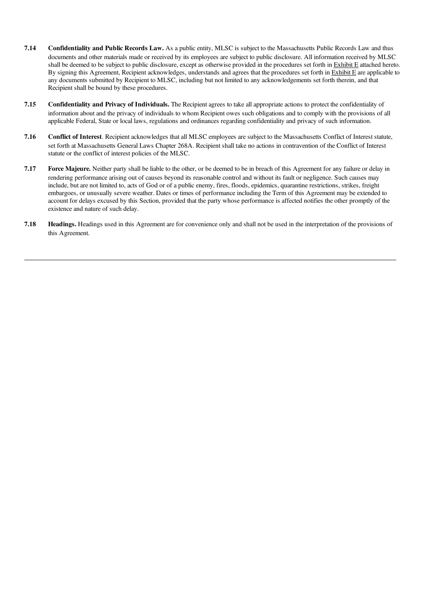- 7.14 Confidentiality and Public Records Law. As a public entity, MLSC is subject to the Massachusetts Public Records Law and thus documents and other materials made or received by its employees are subject to public disclosure. All information received by MLSC shall be deemed to be subject to public disclosure, except as otherwise provided in the procedures set forth in Exhibit E attached hereto. By signing this Agreement, Recipient acknowledges, understands and agrees that the procedures set forth in  $Exhibit E$  are applicable to any documents submitted by Recipient to MLSC, including but not limited to any acknowledgements set forth therein, and that Recipient shall be bound by these procedures.
- 7.15 Confidentiality and Privacy of Individuals. The Recipient agrees to take all appropriate actions to protect the confidentiality of information about and the privacy of individuals to whom Recipient owes such obligations and to comply with the provisions of all applicable Federal, State or local laws, regulations and ordinances regarding confidentiality and privacy of such information.
- 7.16 Conflict of Interest. Recipient acknowledges that all MLSC employees are subject to the Massachusetts Conflict of Interest statute, set forth at Massachusetts General Laws Chapter 268A. Recipient shall take no actions in contravention of the Conflict of Interest statute or the conflict of interest policies of the MLSC.
- 7.17 Force Majeure. Neither party shall be liable to the other, or be deemed to be in breach of this Agreement for any failure or delay in rendering performance arising out of causes beyond its reasonable control and without its fault or negligence. Such causes may include, but are not limited to, acts of God or of a public enemy, fires, floods, epidemics, quarantine restrictions, strikes, freight embargoes, or unusually severe weather. Dates or times of performance including the Term of this Agreement may be extended to account for delays excused by this Section, provided that the party whose performance is affected notifies the other promptly of the existence and nature of such delay.
- 7.18 Headings. Headings used in this Agreement are for convenience only and shall not be used in the interpretation of the provisions of this Agreement.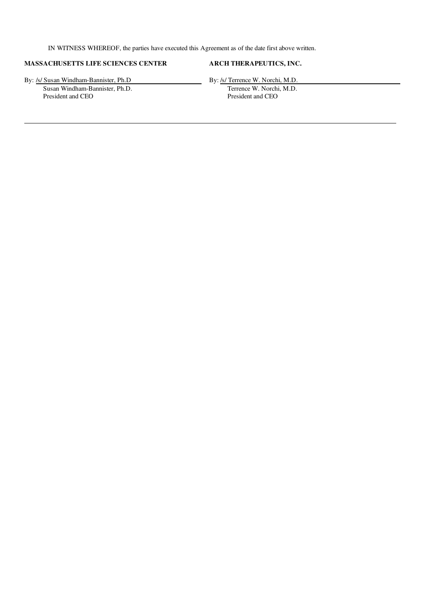IN WITNESS WHEREOF, the parties have executed this Agreement as of the date first above written.

# MASSACHUSETTS LIFE SCIENCES CENTER ARCH THERAPEUTICS, INC.

By: /s/ Susan Windham-Bannister, Ph.D By: /s/ Terrence W. Norchi, M.D.<br>Susan Windham-Bannister, Ph.D. Terrence W. Norchi, M.D.

Susan Windham-Bannister, Ph.D.<br>
President and CEO<br>
President and CEO<br>
President and CEO President and CEO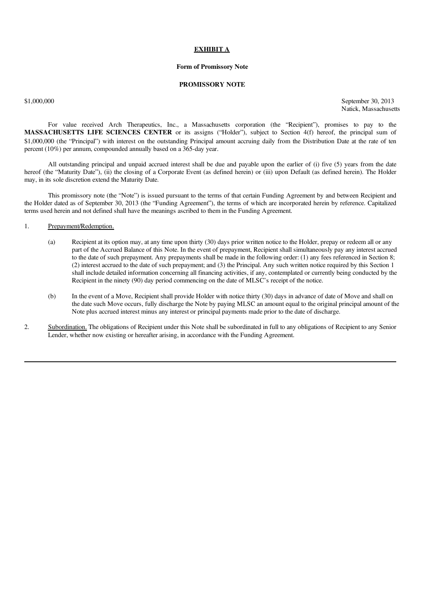#### EXHIBIT A

#### Form of Promissory Note

#### PROMISSORY NOTE

\$1,000,000 September 30, 2013 Natick, Massachusetts

For value received Arch Therapeutics, Inc., a Massachusetts corporation (the "Recipient"), promises to pay to the MASSACHUSETTS LIFE SCIENCES CENTER or its assigns ("Holder"), subject to Section 4(f) hereof, the principal sum of \$1,000,000 (the "Principal") with interest on the outstanding Principal amount accruing daily from the Distribution Date at the rate of ten percent (10%) per annum, compounded annually based on a 365-day year.

All outstanding principal and unpaid accrued interest shall be due and payable upon the earlier of (i) five (5) years from the date hereof (the "Maturity Date"), (ii) the closing of a Corporate Event (as defined herein) or (iii) upon Default (as defined herein). The Holder may, in its sole discretion extend the Maturity Date.

This promissory note (the "Note") is issued pursuant to the terms of that certain Funding Agreement by and between Recipient and the Holder dated as of September 30, 2013 (the "Funding Agreement"), the terms of which are incorporated herein by reference. Capitalized terms used herein and not defined shall have the meanings ascribed to them in the Funding Agreement.

- 1. Prepayment/Redemption.
	- (a) Recipient at its option may, at any time upon thirty (30) days prior written notice to the Holder, prepay or redeem all or any part of the Accrued Balance of this Note. In the event of prepayment, Recipient shall simultaneously pay any interest accrued to the date of such prepayment. Any prepayments shall be made in the following order: (1) any fees referenced in Section 8; (2) interest accrued to the date of such prepayment; and (3) the Principal. Any such written notice required by this Section 1 shall include detailed information concerning all financing activities, if any, contemplated or currently being conducted by the Recipient in the ninety (90) day period commencing on the date of MLSC's receipt of the notice.
	- (b) In the event of a Move, Recipient shall provide Holder with notice thirty (30) days in advance of date of Move and shall on the date such Move occurs, fully discharge the Note by paying MLSC an amount equal to the original principal amount of the Note plus accrued interest minus any interest or principal payments made prior to the date of discharge.
- 2. Subordination. The obligations of Recipient under this Note shall be subordinated in full to any obligations of Recipient to any Senior Lender, whether now existing or hereafter arising, in accordance with the Funding Agreement.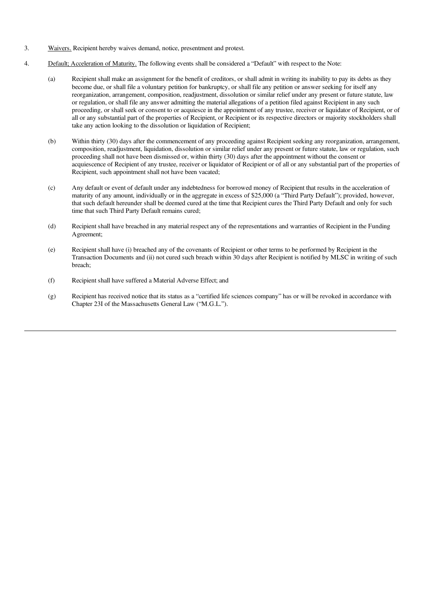- 3. Waivers. Recipient hereby waives demand, notice, presentment and protest.
- 4. Default; Acceleration of Maturity. The following events shall be considered a "Default" with respect to the Note:
	- (a) Recipient shall make an assignment for the benefit of creditors, or shall admit in writing its inability to pay its debts as they become due, or shall file a voluntary petition for bankruptcy, or shall file any petition or answer seeking for itself any reorganization, arrangement, composition, readjustment, dissolution or similar relief under any present or future statute, law or regulation, or shall file any answer admitting the material allegations of a petition filed against Recipient in any such proceeding, or shall seek or consent to or acquiesce in the appointment of any trustee, receiver or liquidator of Recipient, or of all or any substantial part of the properties of Recipient, or Recipient or its respective directors or majority stockholders shall take any action looking to the dissolution or liquidation of Recipient;
	- (b) Within thirty (30) days after the commencement of any proceeding against Recipient seeking any reorganization, arrangement, composition, readjustment, liquidation, dissolution or similar relief under any present or future statute, law or regulation, such proceeding shall not have been dismissed or, within thirty (30) days after the appointment without the consent or acquiescence of Recipient of any trustee, receiver or liquidator of Recipient or of all or any substantial part of the properties of Recipient, such appointment shall not have been vacated;
	- (c) Any default or event of default under any indebtedness for borrowed money of Recipient that results in the acceleration of maturity of any amount, individually or in the aggregate in excess of \$25,000 (a "Third Party Default"); provided, however, that such default hereunder shall be deemed cured at the time that Recipient cures the Third Party Default and only for such time that such Third Party Default remains cured;
	- (d) Recipient shall have breached in any material respect any of the representations and warranties of Recipient in the Funding Agreement;
	- (e) Recipient shall have (i) breached any of the covenants of Recipient or other terms to be performed by Recipient in the Transaction Documents and (ii) not cured such breach within 30 days after Recipient is notified by MLSC in writing of such breach;
	- (f) Recipient shall have suffered a Material Adverse Effect; and
	- (g) Recipient has received notice that its status as a "certified life sciences company" has or will be revoked in accordance with Chapter 23I of the Massachusetts General Law ("M.G.L.").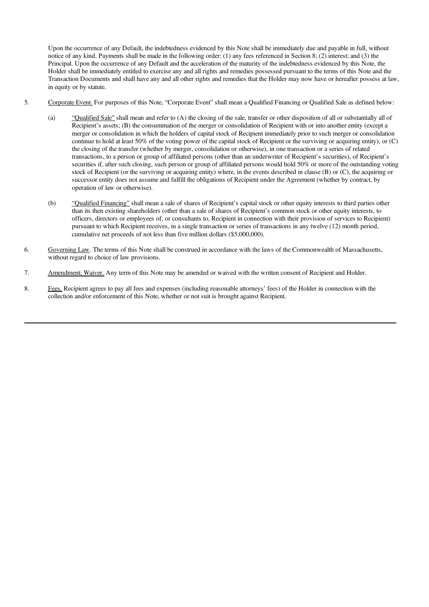Upon the occurrence of any Default, the indebtedness evidenced by this Note shall be immediately due and payable in full, without notice of any kind. Payments shall be made in the following order: (1) any fees referenced in Section 8; (2) interest; and (3) the Principal. Upon the occurrence of any Default and the acceleration of the maturity of the indebtedness evidenced by this Note, the Holder shall be immediately entitled to exercise any and all rights and remedies possessed pursuant to the terms of this Note and the Transaction Documents and shall have any and all other rights and remedies that the Holder may now have or hereafter possess at law, in equity or by statute.

- 5. Corporate Event. For purposes of this Note, "Corporate Event" shall mean a Qualified Financing or Qualified Sale as defined below:
	- (a) "Qualified Sale" shall mean and refer to (A) the closing of the sale, transfer or other disposition of all or substantially all of Recipient's assets; (B) the consummation of the merger or consolidation of Recipient with or into another entity (except a merger or consolidation in which the holders of capital stock of Recipient immediately prior to such merger or consolidation continue to hold at least 50% of the voting power of the capital stock of Recipient or the surviving or acquiring entity), or (C) the closing of the transfer (whether by merger, consolidation or otherwise), in one transaction or a series of related transactions, to a person or group of affiliated persons (other than an underwriter of Recipient's securities), of Recipient's securities if, after such closing, such person or group of affiliated persons would hold 50% or more of the outstanding voting stock of Recipient (or the surviving or acquiring entity) where, in the events described in clause (B) or (C), the acquiring or successor entity does not assume and fulfill the obligations of Recipient under the Agreement (whether by contract, by operation of law or otherwise).
	- (b) "Qualified Financing" shall mean a sale of shares of Recipient's capital stock or other equity interests to third parties other than its then existing shareholders (other than a sale of shares of Recipient's common stock or other equity interests, to officers, directors or employees of, or consultants to, Recipient in connection with their provision of services to Recipient) pursuant to which Recipient receives, in a single transaction or series of transactions in any twelve (12) month period, cumulative net proceeds of not less than five million dollars (\$5,000,000).
- 6. Governing Law. The terms of this Note shall be construed in accordance with the laws of the Commonwealth of Massachusetts, without regard to choice of law provisions.
- 7. Amendment; Waiver. Any term of this Note may be amended or waived with the written consent of Recipient and Holder.
- 8. Fees. Recipient agrees to pay all fees and expenses (including reasonable attorneys' fees) of the Holder in connection with the collection and/or enforcement of this Note, whether or not suit is brought against Recipient.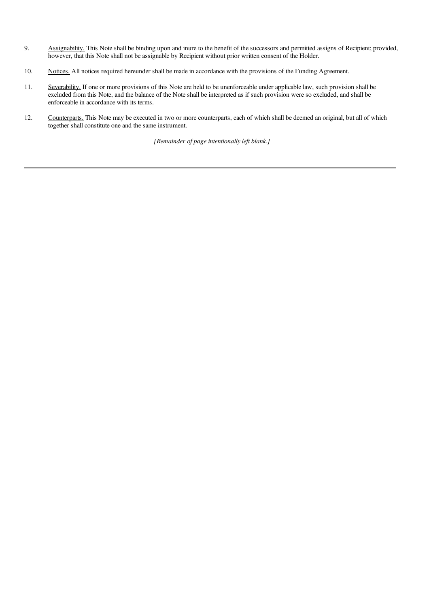- 9. Assignability. This Note shall be binding upon and inure to the benefit of the successors and permitted assigns of Recipient; provided, however, that this Note shall not be assignable by Recipient without prior written consent of the Holder.
- 10. Notices. All notices required hereunder shall be made in accordance with the provisions of the Funding Agreement.
- 11. Severability. If one or more provisions of this Note are held to be unenforceable under applicable law, such provision shall be excluded from this Note, and the balance of the Note shall be interpreted as if such provision were so excluded, and shall be excluded. enforceable in accordance with its terms.
- 12. Counterparts. This Note may be executed in two or more counterparts, each of which shall be deemed an original, but all of which together shall constitute one and the same instrument.

*[Remainder of page intentionally left blank.]*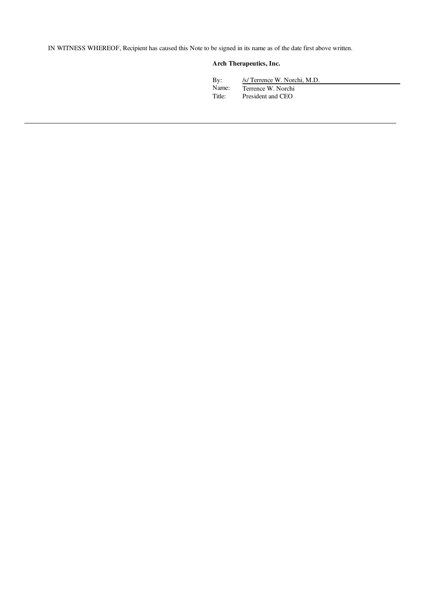IN WITNESS WHEREOF, Recipient has caused this Note to be signed in its name as of the date first above written.

# Arch Therapeutics, Inc.

| By:    | /s/ Terrence W. Norchi, M.D. |
|--------|------------------------------|
| Name:  | Terrence W. Norchi           |
| Title: | President and CEO            |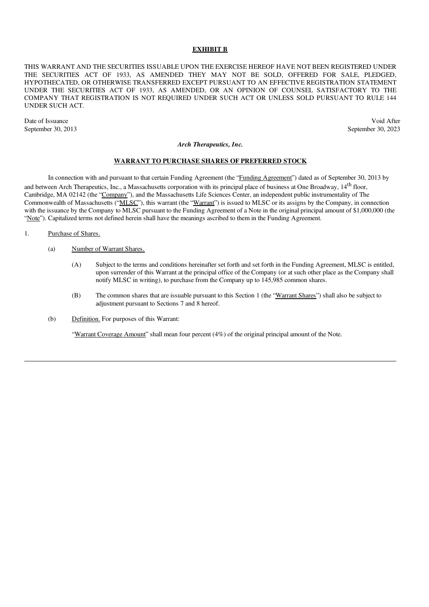#### EXHIBIT B

THIS WARRANT AND THE SECURITIES ISSUABLE UPON THE EXERCISE HEREOF HAVE NOT BEEN REGISTERED UNDER THE SECURITIES ACT OF 1933, AS AMENDED THEY MAY NOT BE SOLD, OFFERED FOR SALE, PLEDGED, HYPOTHECATED, OR OTHERWISE TRANSFERRED EXCEPT PURSUANT TO AN EFFECTIVE REGISTRATION STATEMENT UNDER THE SECURITIES ACT OF 1933, AS AMENDED, OR AN OPINION OF COUNSEL SATISFACTORY TO THE COMPANY THAT REGISTRATION IS NOT REQUIRED UNDER SUCH ACT OR UNLESS SOLD PURSUANT TO RULE 144 UNDER SUCH ACT.

Date of Issuance Void After September 30, 2013 September 30, 2023

#### *Arch Therapeutics, Inc.*

#### WARRANT TO PURCHASE SHARES OF PREFERRED STOCK

In connection with and pursuant to that certain Funding Agreement (the "Funding Agreement") dated as of September 30, 2013 by and between Arch Therapeutics, Inc., a Massachusetts corporation with its principal place of business at One Broadway, 14<sup>th</sup> floor, Cambridge, MA 02142 (the "Company"), and the Massachusetts Life Sciences Center, an independent public instrumentality of The Commonwealth of Massachusetts ("MLSC"), this warrant (the "Warrant") is issued to MLSC or its assigns by the Company, in connection with the issuance by the Company to MLSC pursuant to the Funding Agreement of a Note in the original principal amount of \$1,000,000 (the "Note"). Capitalized terms not defined herein shall have the meanings ascribed to them in the Funding Agreement.

#### 1. Purchase of Shares.

- (a) Number of Warrant Shares.
	- (A) Subject to the terms and conditions hereinafter set forth and set forth in the Funding Agreement, MLSC is entitled, upon surrender of this Warrant at the principal office of the Company (or at such other place as the Company shall notify MLSC in writing), to purchase from the Company up to 145,985 common shares.
	- (B) The common shares that are issuable pursuant to this Section 1 (the "Warrant Shares") shall also be subject to adjustment pursuant to Sections 7 and 8 hereof.
- (b) Definition. For purposes of this Warrant:

"Warrant Coverage Amount" shall mean four percent (4%) of the original principal amount of the Note.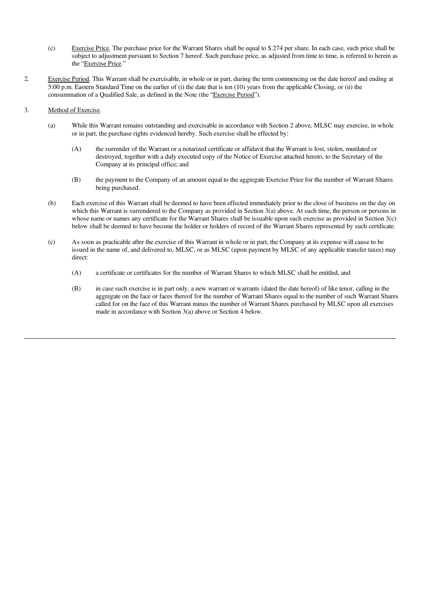- (c) Exercise Price. The purchase price for the Warrant Shares shall be equal to \$.274 per share. In each case, such price shall be subject to adjustment pursuant to Section 7 hereof. Such purchase price, as adjusted from time to time, is referred to herein as the "Exercise Price."
- 2. Exercise Period. This Warrant shall be exercisable, in whole or in part, during the term commencing on the date hereof and ending at 5:00 p.m. Eastern Standard Time on the earlier of (i) the date that is ten (10) years from the applicable Closing, or (ii) the consummation of a Qualified Sale, as defined in the Note (the "Exercise Period").
- 3. Method of Exercise.
	- (a) While this Warrant remains outstanding and exercisable in accordance with Section 2 above, MLSC may exercise, in whole or in part, the purchase rights evidenced hereby. Such exercise shall be effected by:
		- (A) the surrender of the Warrant or a notarized certificate or affidavit that the Warrant is lost, stolen, mutilated or destroyed, together with a duly executed copy of the Notice of Exercise attached hereto, to the Secretary of the Company at its principal office; and
		- (B) the payment to the Company of an amount equal to the aggregate Exercise Price for the number of Warrant Shares being purchased.
	- (b) Each exercise of this Warrant shall be deemed to have been effected immediately prior to the close of business on the day on which this Warrant is surrendered to the Company as provided in Section 3(a) above. At such time, the person or persons in whose name or names any certificate for the Warrant Shares shall be issuable upon such exercise as provided in Section 3(c) below shall be deemed to have become the holder or holders of record of the Warrant Shares represented by such certificate.
	- (c) As soon as practicable after the exercise of this Warrant in whole or in part, the Company at its expense will cause to be issued in the name of, and delivered to, MLSC, or as MLSC (upon payment by MLSC of any applicable transfer taxes) may direct:
		- (A) a certificate or certificates for the number of Warrant Shares to which MLSC shall be entitled, and
		- (B) in case such exercise is in part only, a new warrant or warrants (dated the date hereof) of like tenor, calling in the aggregate on the face or faces thereof for the number of Warrant Shares equal to the number of such Warrant Shares called for on the face of this Warrant minus the number of Warrant Shares purchased by MLSC upon all exercises made in accordance with Section 3(a) above or Section 4 below.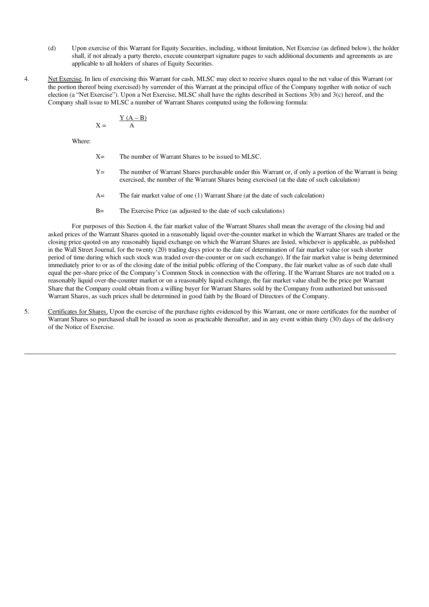- (d) Upon exercise of this Warrant for Equity Securities, including, without limitation, Net Exercise (as defined below), the holder shall, if not already a party thereto, execute counterpart signature pages to such additional documents and agreements as are applicable to all holders of shares of Equity Securities.
- 4. Net Exercise. In lieu of exercising this Warrant for cash, MLSC may elect to receive shares equal to the net value of this Warrant (or the portion thereof being exercised) by surrender of this Warrant at the principal office of the Company together with notice of such election (a "Net Exercise"). Upon a Net Exercise, MLSC shall have the rights described in Sections 3(b) and 3(c) hereof, and the Company shall issue to MLSC a number of Warrant Shares computed using the following formula:

$$
X = \frac{Y(A - B)}{A}
$$

Where:

- X= The number of Warrant Shares to be issued to MLSC.
- Y= The number of Warrant Shares purchasable under this Warrant or, if only a portion of the Warrant is being exercised, the number of the Warrant Shares being exercised (at the date of such calculation)
- A= The fair market value of one (1) Warrant Share (at the date of such calculation)
- B= The Exercise Price (as adjusted to the date of such calculations)

For purposes of this Section 4, the fair market value of the Warrant Shares shall mean the average of the closing bid and asked prices of the Warrant Shares quoted in a reasonably liquid over-the-counter market in which the Warrant Shares are traded or the closing price quoted on any reasonably liquid exchange on which the Warrant Shares are listed, whichever is applicable, as published in the Wall Street Journal, for the twenty (20) trading days prior to the date of determination of fair market value (or such shorter period of time during which such stock was traded over-the-counter or on such exchange). If the fair market value is being determined immediately prior to or as of the closing date of the initial public offering of the Company, the fair market value as of such date shall equal the per-share price of the Company's Common Stock in connection with the offering. If the Warrant Shares are not traded on a reasonably liquid over-the-counter market or on a reasonably liquid exchange, the fair market value shall be the price per Warrant Share that the Company could obtain from a willing buyer for Warrant Shares sold by the Company from authorized but unissued Warrant Shares, as such prices shall be determined in good faith by the Board of Directors of the Company.

5. Certificates for Shares. Upon the exercise of the purchase rights evidenced by this Warrant, one or more certificates for the number of Warrant Shares so purchased shall be issued as soon as practicable thereafter, and in any event within thirty (30) days of the delivery of the Notice of Exercise.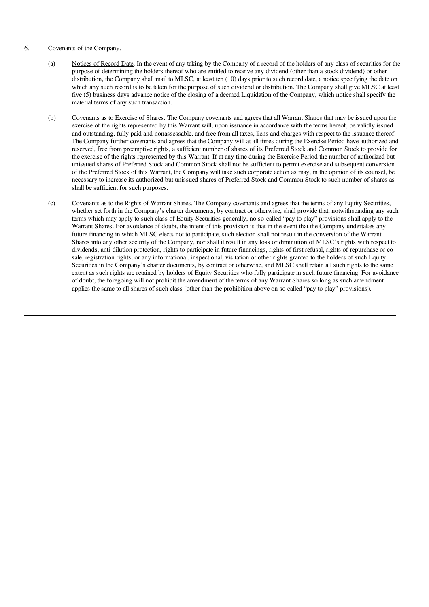#### 6. Covenants of the Company.

- (a) Notices of Record Date. In the event of any taking by the Company of a record of the holders of any class of securities for the purpose of determining the holders thereof who are entitled to receive any dividend (other than a stock dividend) or other distribution, the Company shall mail to MLSC, at least ten (10) days prior to such record date, a notice specifying the date on which any such record is to be taken for the purpose of such dividend or distribution. The Company shall give MLSC at least five (5) business days advance notice of the closing of a deemed Liquidation of the Company, which notice shall specify the material terms of any such transaction.
- (b) Covenants as to Exercise of Shares. The Company covenants and agrees that all Warrant Shares that may be issued upon the exercise of the rights represented by this Warrant will, upon issuance in accordance with the terms hereof, be validly issued and outstanding, fully paid and nonassessable, and free from all taxes, liens and charges with respect to the issuance thereof. The Company further covenants and agrees that the Company will at all times during the Exercise Period have authorized and reserved, free from preemptive rights, a sufficient number of shares of its Preferred Stock and Common Stock to provide for the exercise of the rights represented by this Warrant. If at any time during the Exercise Period the number of authorized but unissued shares of Preferred Stock and Common Stock shall not be sufficient to permit exercise and subsequent conversion of the Preferred Stock of this Warrant, the Company will take such corporate action as may, in the opinion of its counsel, be necessary to increase its authorized but unissued shares of Preferred Stock and Common Stock to such number of shares as shall be sufficient for such purposes.
- (c) Covenants as to the Rights of Warrant Shares. The Company covenants and agrees that the terms of any Equity Securities, whether set forth in the Company's charter documents, by contract or otherwise, shall provide that, notwithstanding any such terms which may apply to such class of Equity Securities generally, no so-called "pay to play" provisions shall apply to the Warrant Shares. For avoidance of doubt, the intent of this provision is that in the event that the Company undertakes any future financing in which MLSC elects not to participate, such election shall not result in the conversion of the Warrant Shares into any other security of the Company, nor shall it result in any loss or diminution of MLSC's rights with respect to dividends, anti-dilution protection, rights to participate in future financings, rights of first refusal, rights of repurchase or cosale, registration rights, or any informational, inspectional, visitation or other rights granted to the holders of such Equity Securities in the Company's charter documents, by contract or otherwise, and MLSC shall retain all such rights to the same extent as such rights are retained by holders of Equity Securities who fully participate in such future financing. For avoidance of doubt, the foregoing will not prohibit the amendment of the terms of any Warrant Shares so long as such amendment applies the same to all shares of such class (other than the prohibition above on so called "pay to play" provisions).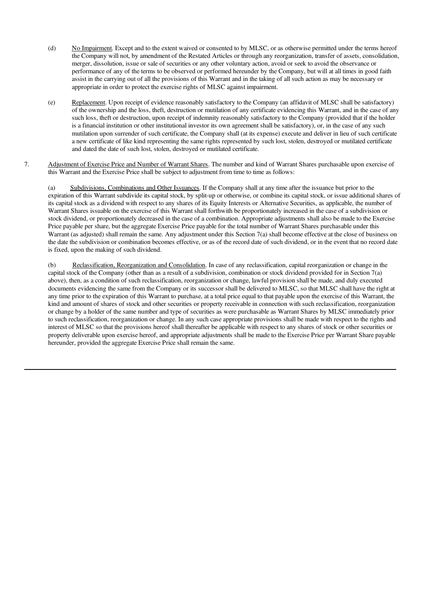- (d) No Impairment. Except and to the extent waived or consented to by MLSC, or as otherwise permitted under the terms hereof the Company will not, by amendment of the Restated Articles or through any reorganization, transfer of assets, consolidation, merger, dissolution, issue or sale of securities or any other voluntary action, avoid or seek to avoid the observance or performance of any of the terms to be observed or performed hereunder by the Company, but will at all times in good faith assist in the carrying out of all the provisions of this Warrant and in the taking of all such action as may be necessary or appropriate in order to protect the exercise rights of MLSC against impairment.
- (e) Replacement. Upon receipt of evidence reasonably satisfactory to the Company (an affidavit of MLSC shall be satisfactory) of the ownership and the loss, theft, destruction or mutilation of any certificate evidencing this Warrant, and in the case of any such loss, theft or destruction, upon receipt of indemnity reasonably satisfactory to the Company (provided that if the holder is a financial institution or other institutional investor its own agreement shall be satisfactory), or, in the case of any such mutilation upon surrender of such certificate, the Company shall (at its expense) execute and deliver in lieu of such certificate a new certificate of like kind representing the same rights represented by such lost, stolen, destroyed or mutilated certificate and dated the date of such lost, stolen, destroyed or mutilated certificate.
- 7. Adjustment of Exercise Price and Number of Warrant Shares. The number and kind of Warrant Shares purchasable upon exercise of this Warrant and the Exercise Price shall be subject to adjustment from time to time as follows:

(a) Subdivisions, Combinations and Other Issuances. If the Company shall at any time after the issuance but prior to the expiration of this Warrant subdivide its capital stock, by split-up or otherwise, or combine its capital stock, or issue additional shares of its capital stock as a dividend with respect to any shares of its Equity Interests or Alternative Securities, as applicable, the number of Warrant Shares issuable on the exercise of this Warrant shall forthwith be proportionately increased in the case of a subdivision or stock dividend, or proportionately decreased in the case of a combination. Appropriate adjustments shall also be made to the Exercise Price payable per share, but the aggregate Exercise Price payable for the total number of Warrant Shares purchasable under this Warrant (as adjusted) shall remain the same. Any adjustment under this Section 7(a) shall become effective at the close of business on the date the subdivision or combination becomes effective, or as of the record date of such dividend, or in the event that no record date is fixed, upon the making of such dividend.

(b) Reclassification, Reorganization and Consolidation. In case of any reclassification, capital reorganization or change in the capital stock of the Company (other than as a result of a subdivision, combination or stock dividend provided for in Section 7(a) above), then, as a condition of such reclassification, reorganization or change, lawful provision shall be made, and duly executed documents evidencing the same from the Company or its successor shall be delivered to MLSC, so that MLSC shall have the right at any time prior to the expiration of this Warrant to purchase, at a total price equal to that payable upon the exercise of this Warrant, the kind and amount of shares of stock and other securities or property receivable in connection with such reclassification, reorganization or change by a holder of the same number and type of securities as were purchasable as Warrant Shares by MLSC immediately prior to such reclassification, reorganization or change. In any such case appropriate provisions shall be made with respect to the rights and interest of MLSC so that the provisions hereof shall thereafter be applicable with respect to any shares of stock or other securities or property deliverable upon exercise hereof, and appropriate adjustments shall be made to the Exercise Price per Warrant Share payable hereunder, provided the aggregate Exercise Price shall remain the same.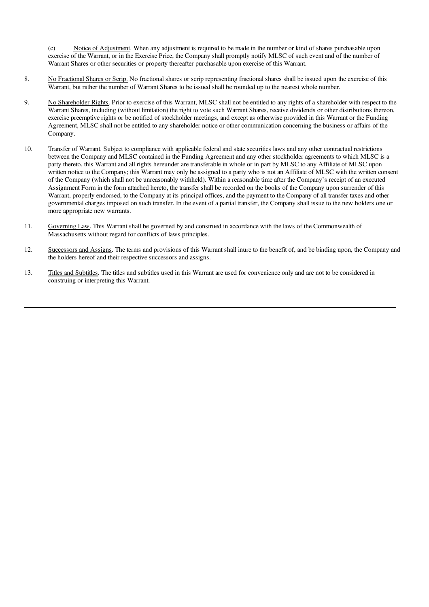(c) Notice of Adjustment. When any adjustment is required to be made in the number or kind of shares purchasable upon exercise of the Warrant, or in the Exercise Price, the Company shall promptly notify MLSC of such event and of the number of Warrant Shares or other securities or property thereafter purchasable upon exercise of this Warrant.

- 8. No Fractional Shares or Scrip. No fractional shares or scrip representing fractional shares shall be issued upon the exercise of this Warrant, but rather the number of Warrant Shares to be issued shall be rounded up to the nearest whole number.
- 9. No Shareholder Rights. Prior to exercise of this Warrant, MLSC shall not be entitled to any rights of a shareholder with respect to the Warrant Shares, including (without limitation) the right to vote such Warrant Shares, receive dividends or other distributions thereon, exercise preemptive rights or be notified of stockholder meetings, and except as otherwise provided in this Warrant or the Funding Agreement, MLSC shall not be entitled to any shareholder notice or other communication concerning the business or affairs of the Company.
- 10. Transfer of Warrant. Subject to compliance with applicable federal and state securities laws and any other contractual restrictions between the Company and MLSC contained in the Funding Agreement and any other stockholder agreements to which MLSC is a party thereto, this Warrant and all rights hereunder are transferable in whole or in part by MLSC to any Affiliate of MLSC upon written notice to the Company; this Warrant may only be assigned to a party who is not an Affiliate of MLSC with the written consent of the Company (which shall not be unreasonably withheld). Within a reasonable time after the Company's receipt of an executed Assignment Form in the form attached hereto, the transfer shall be recorded on the books of the Company upon surrender of this Warrant, properly endorsed, to the Company at its principal offices, and the payment to the Company of all transfer taxes and other governmental charges imposed on such transfer. In the event of a partial transfer, the Company shall issue to the new holders one or more appropriate new warrants.
- 11. Governing Law. This Warrant shall be governed by and construed in accordance with the laws of the Commonwealth of Massachusetts without regard for conflicts of laws principles.
- 12. Successors and Assigns. The terms and provisions of this Warrant shall inure to the benefit of, and be binding upon, the Company and the holders hereof and their respective successors and assigns.
- 13. Titles and Subtitles. The titles and subtitles used in this Warrant are used for convenience only and are not to be considered in construing or interpreting this Warrant.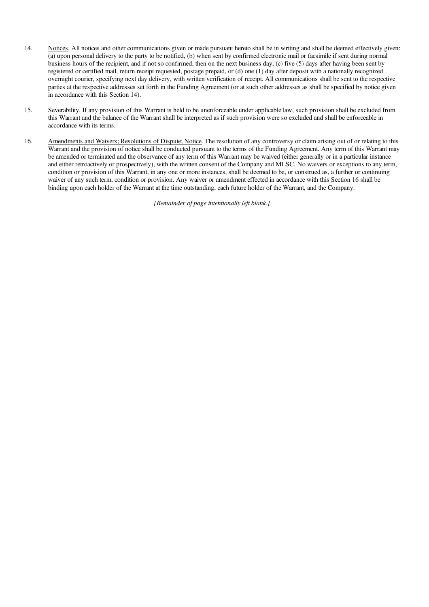- 14. Notices. All notices and other communications given or made pursuant hereto shall be in writing and shall be deemed effectively given: (a) upon personal delivery to the party to be notified, (b) when sent by confirmed electronic mail or facsimile if sent during normal business hours of the recipient, and if not so confirmed, then on the next business day, (c) five (5) days after having been sent by registered or certified mail, return receipt requested, postage prepaid, or (d) one (1) day after deposit with a nationally recognized overnight courier, specifying next day delivery, with written verification of receipt. All communications shall be sent to the respective parties at the respective addresses set forth in the Funding Agreement (or at such other addresses as shall be specified by notice given in accordance with this Section 14).
- 15. Severability. If any provision of this Warrant is held to be unenforceable under applicable law, such provision shall be excluded from this Warrant and the balance of the Warrant shall be interpreted as if such provision were so excluded and shall be enforceable in accordance with its terms.
- 16. Amendments and Waivers; Resolutions of Dispute; Notice. The resolution of any controversy or claim arising out of or relating to this Warrant and the provision of notice shall be conducted pursuant to the terms of the Funding Agreement. Any term of this Warrant may be amended or terminated and the observance of any term of this Warrant may be waived (either generally or in a particular instance and either retroactively or prospectively), with the written consent of the Company and MLSC. No waivers or exceptions to any term, condition or provision of this Warrant, in any one or more instances, shall be deemed to be, or construed as, a further or continuing waiver of any such term, condition or provision. Any waiver or amendment effected in accordance with this Section 16 shall be binding upon each holder of the Warrant at the time outstanding, each future holder of the Warrant, and the Company.

*[Remainder of page intentionally left blank.]*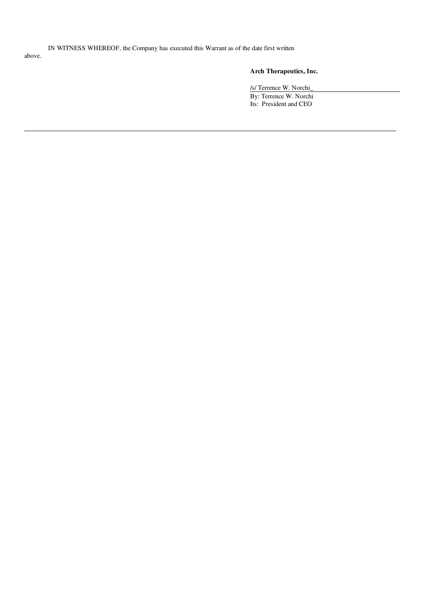IN WITNESS WHEREOF, the Company has executed this Warrant as of the date first written above.

# Arch Therapeutics, Inc.

/s/ Terrence W. Norchi\_ By: Terrence W. Norchi Its: President and CEO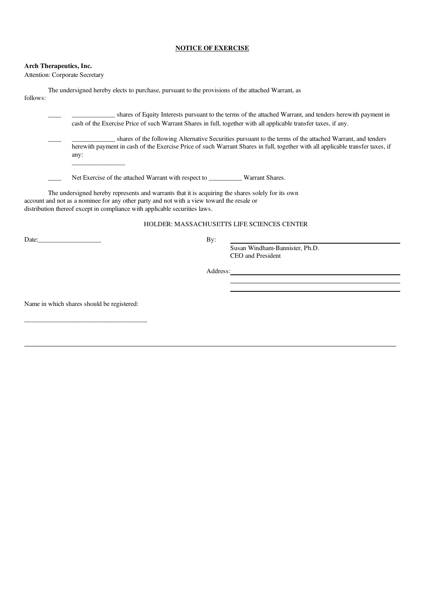#### NOTICE OF EXERCISE

#### Arch Therapeutics, Inc.

Attention: Corporate Secretary

|          |  | The undersigned hereby elects to purchase, pursuant to the provisions of the attached Warrant, as |  |
|----------|--|---------------------------------------------------------------------------------------------------|--|
| follows: |  |                                                                                                   |  |

\_\_\_\_\_ shares of Equity Interests pursuant to the terms of the attached Warrant, and tenders herewith payment in cash of the Exercise Price of such Warrant Shares in full, together with all applicable transfer taxes, if any.

\_\_\_\_ \_\_\_\_\_\_\_\_\_\_\_\_\_ shares of the following Alternative Securities pursuant to the terms of the attached Warrant, and tenders herewith payment in cash of the Exercise Price of such Warrant Shares in full, together with all applicable transfer taxes, if any: \_\_\_\_\_\_\_\_\_\_\_\_\_\_\_\_

Net Exercise of the attached Warrant with respect to \_\_\_\_\_\_\_\_\_\_\_ Warrant Shares.

The undersigned hereby represents and warrants that it is acquiring the shares solely for its own account and not as a nominee for any other party and not with a view toward the resale or distribution thereof except in compliance with applicable securities laws.

#### HOLDER: MASSACHUSETTS LIFE SCIENCES CENTER

Date: By:

Susan Windham-Bannister, Ph.D. CEO and President

Address:

Name in which shares should be registered:

\_\_\_\_\_\_\_\_\_\_\_\_\_\_\_\_\_\_\_\_\_\_\_\_\_\_\_\_\_\_\_\_\_\_\_\_\_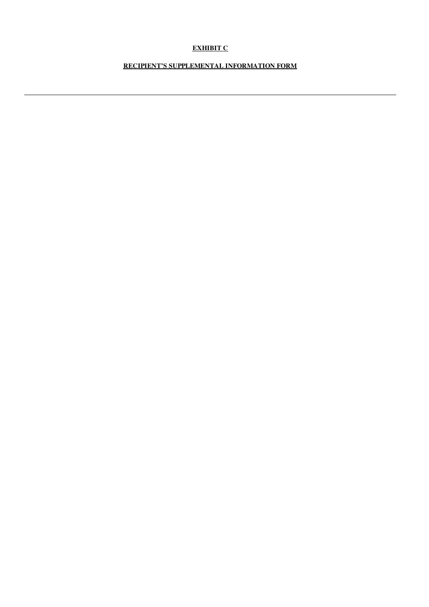# EXHIBIT C

# RECIPIENT'S SUPPLEMENTAL INFORMATION FORM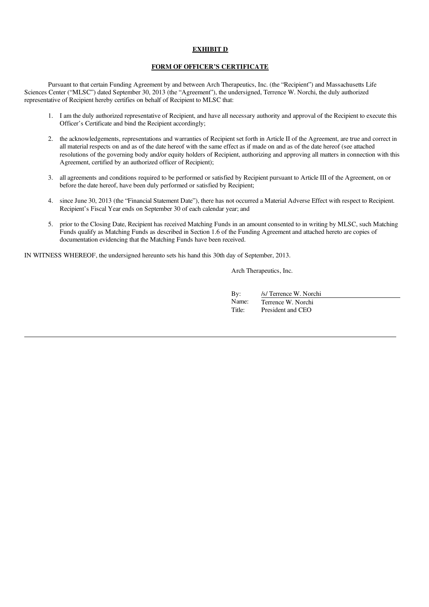#### EXHIBIT D

#### FORM OF OFFICER'S CERTIFICATE

Pursuant to that certain Funding Agreement by and between Arch Therapeutics, Inc. (the "Recipient") and Massachusetts Life Sciences Center ("MLSC") dated September 30, 2013 (the "Agreement"), the undersigned, Terrence W. Norchi, the duly authorized representative of Recipient hereby certifies on behalf of Recipient to MLSC that:

- 1. I am the duly authorized representative of Recipient, and have all necessary authority and approval of the Recipient to execute this Officer's Certificate and bind the Recipient accordingly;
- 2. the acknowledgements, representations and warranties of Recipient set forth in Article II of the Agreement, are true and correct in all material respects on and as of the date hereof with the same effect as if made on and as of the date hereof (see attached resolutions of the governing body and/or equity holders of Recipient, authorizing and approving all matters in connection with this Agreement, certified by an authorized officer of Recipient);
- 3. all agreements and conditions required to be performed or satisfied by Recipient pursuant to Article III of the Agreement, on or before the date hereof, have been duly performed or satisfied by Recipient;
- 4. since June 30, 2013 (the "Financial Statement Date"), there has not occurred a Material Adverse Effect with respect to Recipient. Recipient's Fiscal Year ends on September 30 of each calendar year; and
- 5. prior to the Closing Date, Recipient has received Matching Funds in an amount consented to in writing by MLSC, such Matching Funds qualify as Matching Funds as described in Section 1.6 of the Funding Agreement and attached hereto are copies of documentation evidencing that the Matching Funds have been received.

IN WITNESS WHEREOF, the undersigned hereunto sets his hand this 30th day of September, 2013.

Arch Therapeutics, Inc.

| $\mathbf{By:}$ | /s/ Terrence W. Norchi |
|----------------|------------------------|
| Name:          | Terrence W. Norchi     |
| Title:         | President and CEO      |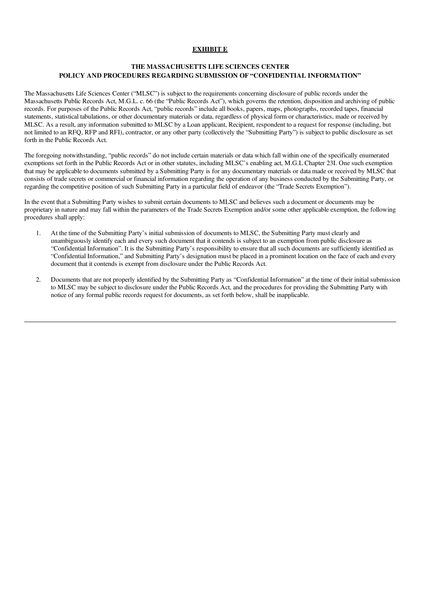#### EXHIBIT E

# THE MASSACHUSETTS LIFE SCIENCES CENTER POLICY AND PROCEDURES REGARDING SUBMISSION OF "CONFIDENTIAL INFORMATION"

The Massachusetts Life Sciences Center ("MLSC") is subject to the requirements concerning disclosure of public records under the Massachusetts Public Records Act, M.G.L. c. 66 (the "Public Records Act"), which governs the retention, disposition and archiving of public records. For purposes of the Public Records Act, "public records" include all books, papers, maps, photographs, recorded tapes, financial statements, statistical tabulations, or other documentary materials or data, regardless of physical form or characteristics, made or received by MLSC. As a result, any information submitted to MLSC by a Loan applicant, Recipient, respondent to a request for response (including, but not limited to an RFQ, RFP and RFI), contractor, or any other party (collectively the "Submitting Party") is subject to public disclosure as set forth in the Public Records Act.

The foregoing notwithstanding, "public records" do not include certain materials or data which fall within one of the specifically enumerated exemptions set forth in the Public Records Act or in other statutes, including MLSC's enabling act, M.G.L Chapter 23I. One such exemption that may be applicable to documents submitted by a Submitting Party is for any documentary materials or data made or received by MLSC that consists of trade secrets or commercial or financial information regarding the operation of any business conducted by the Submitting Party, or regarding the competitive position of such Submitting Party in a particular field of endeavor (the "Trade Secrets Exemption").

In the event that a Submitting Party wishes to submit certain documents to MLSC and believes such a document or documents may be proprietary in nature and may fall within the parameters of the Trade Secrets Exemption and/or some other applicable exemption, the following procedures shall apply:

- 1. At the time of the Submitting Party's initial submission of documents to MLSC, the Submitting Party must clearly and unambiguously identify each and every such document that it contends is subject to an exemption from public disclosure as "Confidential Information". It is the Submitting Party's responsibility to ensure that all such documents are sufficiently identified as "Confidential Information," and Submitting Party's designation must be placed in a prominent location on the face of each and every document that it contends is exempt from disclosure under the Public Records Act.
- 2. Documents that are not properly identified by the Submitting Party as "Confidential Information" at the time of their initial submission to MLSC may be subject to disclosure under the Public Records Act, and the procedures for providing the Submitting Party with notice of any formal public records request for documents, as set forth below, shall be inapplicable.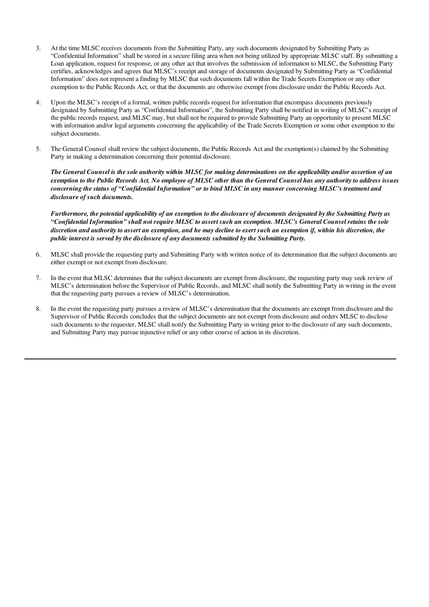- 3. At the time MLSC receives documents from the Submitting Party, any such documents designated by Submitting Party as "Confidential Information" shall be stored in a secure filing area when not being utilized by appropriate MLSC staff. By submitting a Loan application, request for response, or any other act that involves the submission of information to MLSC, the Submitting Party certifies, acknowledges and agrees that MLSC's receipt and storage of documents designated by Submitting Party as "Confidential Information" does not represent a finding by MLSC that such documents fall within the Trade Secrets Exemption or any other exemption to the Public Records Act, or that the documents are otherwise exempt from disclosure under the Public Records Act.
- 4. Upon the MLSC's receipt of a formal, written public records request for information that encompass documents previously designated by Submitting Party as "Confidential Information", the Submitting Party shall be notified in writing of MLSC's receipt of the public records request, and MLSC may, but shall not be required to provide Submitting Party an opportunity to present MLSC with information and/or legal arguments concerning the applicability of the Trade Secrets Exemption or some other exemption to the subject documents.
- 5. The General Counsel shall review the subject documents, the Public Records Act and the exemption(s) claimed by the Submitting Party in making a determination concerning their potential disclosure.

The General Counsel is the sole authority within MLSC for making determinations on the applicability and/or assertion of an exemption to the Public Records Act. No employee of MLSC other than the General Counsel has any authority to address issues concerning the status of "Confidential Information" or to bind MLSC in any manner concerning MLSC's treatment and *disclosure of such documents.*

Furthermore, the potential applicability of an exemption to the disclosure of documents designated by the Submitting Party as "Confidential Information" shall not require MLSC to assert such an exemption. MLSC's General Counsel retains the sole discretion and authority to assert an exemption, and he may decline to exert such an exemption if, within his discretion, the *public interest is served by the disclosure of any documents submitted by the Submitting Party.*

- 6. MLSC shall provide the requesting party and Submitting Party with written notice of its determination that the subject documents are either exempt or not exempt from disclosure.
- 7. In the event that MLSC determines that the subject documents are exempt from disclosure, the requesting party may seek review of MLSC's determination before the Supervisor of Public Records, and MLSC shall notify the Submitting Party in writing in the event that the requesting party pursues a review of MLSC's determination.
- 8. In the event the requesting party pursues a review of MLSC's determination that the documents are exempt from disclosure and the Supervisor of Public Records concludes that the subject documents are not exempt from disclosure and orders MLSC to disclose such documents to the requester, MLSC shall notify the Submitting Party in writing prior to the disclosure of any such documents, and Submitting Party may pursue injunctive relief or any other course of action in its discretion.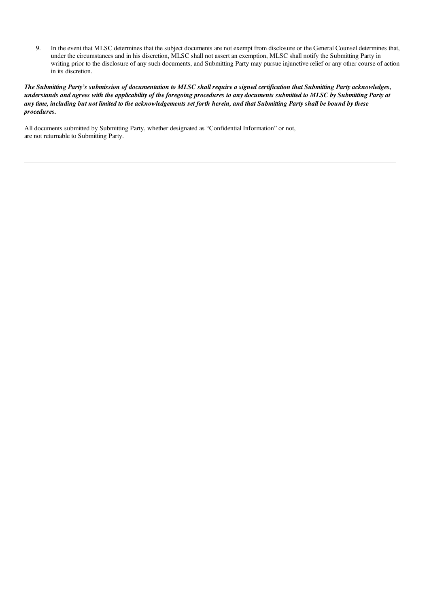9. In the event that MLSC determines that the subject documents are not exempt from disclosure or the General Counsel determines that, under the circumstances and in his discretion, MLSC shall not assert an exemption, MLSC shall notify the Submitting Party in writing prior to the disclosure of any such documents, and Submitting Party may pursue injunctive relief or any other course of action in its discretion.

The Submitting Party's submission of documentation to MLSC shall require a signed certification that Submitting Party acknowledges, understands and agrees with the applicability of the foregoing procedures to any documents submitted to MLSC by Submitting Party at any time, including but not limited to the acknowledgements set forth herein, and that Submitting Party shall be bound by these *procedures.*

All documents submitted by Submitting Party, whether designated as "Confidential Information" or not, are not returnable to Submitting Party.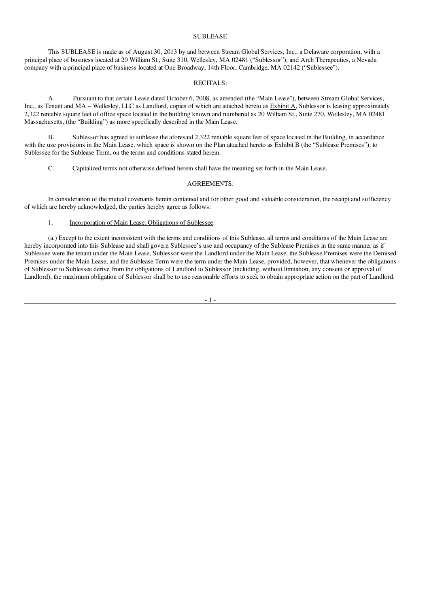#### **SUBLEASE**

This SUBLEASE is made as of August 30, 2013 by and between Stream Global Services, Inc., a Delaware corporation, with a principal place of business located at 20 William St., Suite 310, Wellesley, MA 02481 ("Sublessor"), and Arch Therapeutics, a Nevada company with a principal place of business located at One Broadway, 14th Floor, Cambridge, MA 02142 ("Sublessee").

#### RECITALS:

A. Pursuant to that certain Lease dated October 6, 2008, as amended (the "Main Lease"), between Stream Global Services, Inc., as Tenant and MA – Wellesley, LLC as Landlord, copies of which are attached hereto as **Exhibit A**, Sublessor is leasing approximately 2,322 rentable square feet of office space located in the building known and numbered as 20 William St., Suite 270, Wellesley, MA 02481 Massachusetts, (the "Building") as more specifically described in the Main Lease.

B. Sublessor has agreed to sublease the aforesaid 2,322 rentable square feet of space located in the Building, in accordance with the use provisions in the Main Lease, which space is shown on the Plan attached hereto as Exhibit B (the "Sublease Premises"), to Sublessee for the Sublease Term, on the terms and conditions stated herein.

C. Capitalized terms not otherwise defined herein shall have the meaning set forth in the Main Lease.

#### AGREEMENTS:

In consideration of the mutual covenants herein contained and for other good and valuable consideration, the receipt and sufficiency of which are hereby acknowledged, the parties hereby agree as follows:

#### 1. Incorporation of Main Lease: Obligations of Sublessee.

(a.) Except to the extent inconsistent with the terms and conditions of this Sublease, all terms and conditions of the Main Lease are hereby incorporated into this Sublease and shall govern Sublessee's use and occupancy of the Sublease Premises in the same manner as if Sublessee were the tenant under the Main Lease, Sublessor were the Landlord under the Main Lease, the Sublease Premises were the Demised Premises under the Main Lease, and the Sublease Term were the term under the Main Lease, provided, however, that whenever the obligations of Sublessor to Sublessee derive from the obligations of Landlord to Sublessor (including, without limitation, any consent or approval of Landlord), the maximum obligation of Sublessor shall be to use reasonable efforts to seek to obtain appropriate action on the part of Landlord.

- 1 -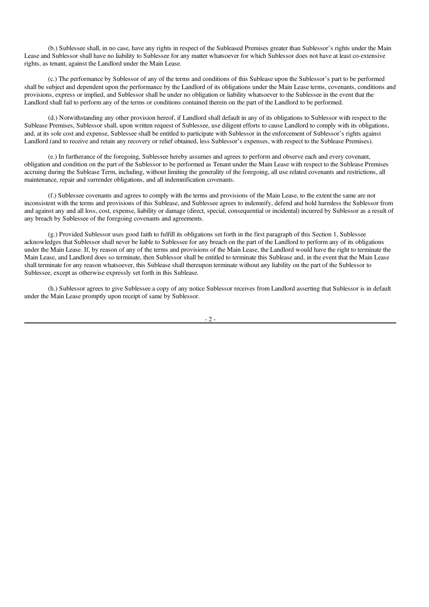(b.) Sublessee shall, in no case, have any rights in respect of the Subleased Premises greater than Sublessor's rights under the Main Lease and Sublessor shall have no liability to Sublessee for any matter whatsoever for which Sublessor does not have at least co-extensive rights, as tenant, against the Landlord under the Main Lease.

(c.) The performance by Sublessor of any of the terms and conditions of this Sublease upon the Sublessor's part to be performed shall be subject and dependent upon the performance by the Landlord of its obligations under the Main Lease terms, covenants, conditions and provisions, express or implied, and Sublessor shall be under no obligation or liability whatsoever to the Sublessee in the event that the Landlord shall fail to perform any of the terms or conditions contained therein on the part of the Landlord to be performed.

(d.) Notwithstanding any other provision hereof, if Landlord shall default in any of its obligations to Sublessor with respect to the Sublease Premises, Sublessor shall, upon written request of Sublessee, use diligent efforts to cause Landlord to comply with its obligations, and, at its sole cost and expense, Sublessee shall be entitled to participate with Sublessor in the enforcement of Sublessor's rights against Landlord (and to receive and retain any recovery or relief obtained, less Sublessor's expenses, with respect to the Sublease Premises).

(e.) In furtherance of the foregoing, Sublessee hereby assumes and agrees to perform and observe each and every covenant, obligation and condition on the part of the Sublessor to be performed as Tenant under the Main Lease with respect to the Sublease Premises accruing during the Sublease Term, including, without limiting the generality of the foregoing, all use related covenants and restrictions, all maintenance, repair and surrender obligations, and all indemnification covenants.

(f.) Sublessee covenants and agrees to comply with the terms and provisions of the Main Lease, to the extent the same are not inconsistent with the terms and provisions of this Sublease, and Sublessee agrees to indemnify, defend and hold harmless the Sublessor from and against any and all loss, cost, expense, liability or damage (direct, special, consequential or incidental) incurred by Sublessor as a result of any breach by Sublessee of the foregoing covenants and agreements.

(g.) Provided Sublessor uses good faith to fulfill its obligations set forth in the first paragraph of this Section 1, Sublessee acknowledges that Sublessor shall never be liable to Sublessee for any breach on the part of the Landlord to perform any of its obligations under the Main Lease. If, by reason of any of the terms and provisions of the Main Lease, the Landlord would have the right to terminate the Main Lease, and Landlord does so terminate, then Sublessor shall be entitled to terminate this Sublease and, in the event that the Main Lease shall terminate for any reason whatsoever, this Sublease shall thereupon terminate without any liability on the part of the Sublessor to Sublessee, except as otherwise expressly set forth in this Sublease.

(h.) Sublessor agrees to give Sublessee a copy of any notice Sublessor receives from Landlord asserting that Sublessor is in default under the Main Lease promptly upon receipt of same by Sublessor.

 $2 -$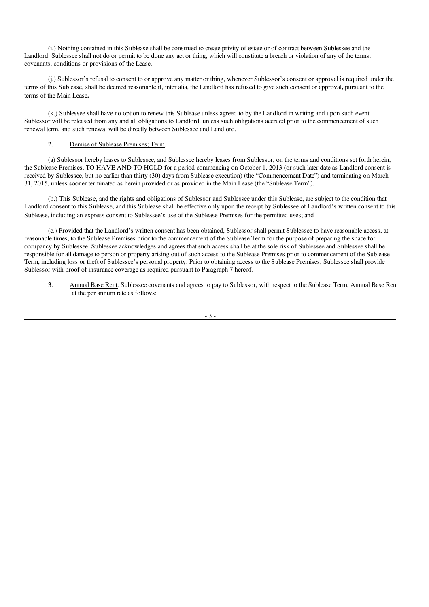(i.) Nothing contained in this Sublease shall be construed to create privity of estate or of contract between Sublessee and the Landlord. Sublessee shall not do or permit to be done any act or thing, which will constitute a breach or violation of any of the terms, covenants, conditions or provisions of the Lease.

(j.) Sublessor's refusal to consent to or approve any matter or thing, whenever Sublessor's consent or approval is required under the terms of this Sublease, shall be deemed reasonable if, inter alia, the Landlord has refused to give such consent or approval, pursuant to the terms of the Main Lease.

(k.) Sublessee shall have no option to renew this Sublease unless agreed to by the Landlord in writing and upon such event Sublessor will be released from any and all obligations to Landlord, unless such obligations accrued prior to the commencement of such renewal term, and such renewal will be directly between Sublessee and Landlord.

#### 2. Demise of Sublease Premises; Term.

(a) Sublessor hereby leases to Sublessee, and Sublessee hereby leases from Sublessor, on the terms and conditions set forth herein, the Sublease Premises, TO HAVE AND TO HOLD for a period commencing on October 1, 2013 (or such later date as Landlord consent is received by Sublessee, but no earlier than thirty (30) days from Sublease execution) (the "Commencement Date") and terminating on March 31, 2015, unless sooner terminated as herein provided or as provided in the Main Lease (the "Sublease Term").

(b.) This Sublease, and the rights and obligations of Sublessor and Sublessee under this Sublease, are subject to the condition that Landlord consent to this Sublease, and this Sublease shall be effective only upon the receipt by Sublessee of Landlord's written consent to this Sublease, including an express consent to Sublessee's use of the Sublease Premises for the permitted uses; and

(c.) Provided that the Landlord's written consent has been obtained, Sublessor shall permit Sublessee to have reasonable access, at reasonable times, to the Sublease Premises prior to the commencement of the Sublease Term for the purpose of preparing the space for occupancy by Sublessee. Sublessee acknowledges and agrees that such access shall be at the sole risk of Sublessee and Sublessee shall be responsible for all damage to person or property arising out of such access to the Sublease Premises prior to commencement of the Sublease Term, including loss or theft of Sublessee's personal property. Prior to obtaining access to the Sublease Premises, Sublessee shall provide Sublessor with proof of insurance coverage as required pursuant to Paragraph 7 hereof.

3. Annual Base Rent. Sublessee covenants and agrees to pay to Sublessor, with respect to the Sublease Term, Annual Base Rent at the per annum rate as follows: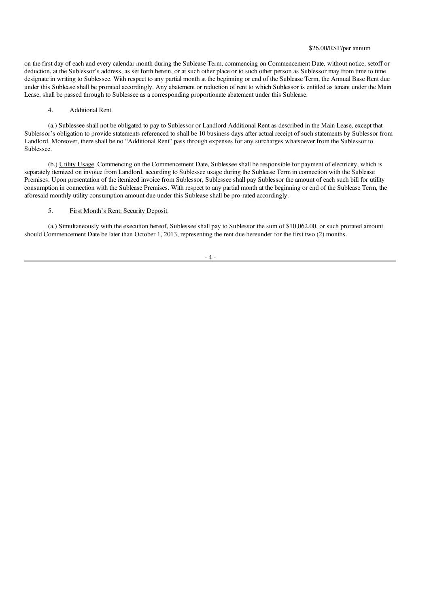#### \$26.00/RSF/per annum

on the first day of each and every calendar month during the Sublease Term, commencing on Commencement Date, without notice, setoff or deduction, at the Sublessor's address, as set forth herein, or at such other place or to such other person as Sublessor may from time to time designate in writing to Sublessee. With respect to any partial month at the beginning or end of the Sublease Term, the Annual Base Rent due under this Sublease shall be prorated accordingly. Any abatement or reduction of rent to which Sublessor is entitled as tenant under the Main Lease, shall be passed through to Sublessee as a corresponding proportionate abatement under this Sublease.

#### 4. Additional Rent.

(a.) Sublessee shall not be obligated to pay to Sublessor or Landlord Additional Rent as described in the Main Lease, except that Sublessor's obligation to provide statements referenced to shall be 10 business days after actual receipt of such statements by Sublessor from Landlord. Moreover, there shall be no "Additional Rent" pass through expenses for any surcharges whatsoever from the Sublessor to Sublessee.

(b.) Utility Usage. Commencing on the Commencement Date, Sublessee shall be responsible for payment of electricity, which is separately itemized on invoice from Landlord, according to Sublessee usage during the Sublease Term in connection with the Sublease Premises. Upon presentation of the itemized invoice from Sublessor, Sublessee shall pay Sublessor the amount of each such bill for utility consumption in connection with the Sublease Premises. With respect to any partial month at the beginning or end of the Sublease Term, the aforesaid monthly utility consumption amount due under this Sublease shall be pro-rated accordingly.

#### 5. First Month's Rent; Security Deposit.

(a.) Simultaneously with the execution hereof, Sublessee shall pay to Sublessor the sum of \$10,062.00, or such prorated amount should Commencement Date be later than October 1, 2013, representing the rent due hereunder for the first two (2) months.

 $-4-$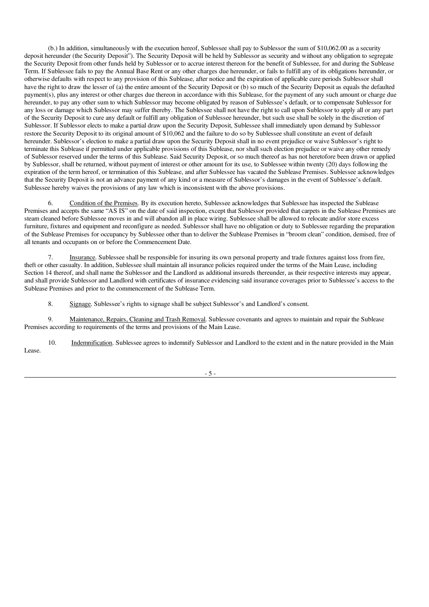(b.) In addition, simultaneously with the execution hereof, Sublessee shall pay to Sublessor the sum of \$10,062.00 as a security deposit hereunder (the Security Deposit"). The Security Deposit will be held by Sublessor as security and without any obligation to segregate the Security Deposit from other funds held by Sublessor or to accrue interest thereon for the benefit of Sublessee, for and during the Sublease Term. If Sublessee fails to pay the Annual Base Rent or any other charges due hereunder, or fails to fulfill any of its obligations hereunder, or otherwise defaults with respect to any provision of this Sublease, after notice and the expiration of applicable cure periods Sublessor shall have the right to draw the lesser of (a) the entire amount of the Security Deposit or (b) so much of the Security Deposit as equals the defaulted payment(s), plus any interest or other charges due thereon in accordance with this Sublease, for the payment of any such amount or charge due hereunder, to pay any other sum to which Sublessor may become obligated by reason of Sublessee's default, or to compensate Sublessor for any loss or damage which Sublessor may suffer thereby. The Sublessee shall not have the right to call upon Sublessor to apply all or any part of the Security Deposit to cure any default or fulfill any obligation of Sublessee hereunder, but such use shall be solely in the discretion of Sublessor. If Sublessor elects to make a partial draw upon the Security Deposit, Sublessee shall immediately upon demand by Sublessor restore the Security Deposit to its original amount of \$10,062 and the failure to do so by Sublessee shall constitute an event of default hereunder. Sublessor's election to make a partial draw upon the Security Deposit shall in no event prejudice or waive Sublessor's right to terminate this Sublease if permitted under applicable provisions of this Sublease, nor shall such election prejudice or waive any other remedy of Sublessor reserved under the terms of this Sublease. Said Security Deposit, or so much thereof as has not heretofore been drawn or applied by Sublessor, shall be returned, without payment of interest or other amount for its use, to Sublessee within twenty (20) days following the expiration of the term hereof, or termination of this Sublease, and after Sublessee has vacated the Sublease Premises. Sublessee acknowledges that the Security Deposit is not an advance payment of any kind or a measure of Sublessor's damages in the event of Sublessee's default. Sublessee hereby waives the provisions of any law which is inconsistent with the above provisions.

6. Condition of the Premises. By its execution hereto, Sublessee acknowledges that Sublessee has inspected the Sublease Premises and accepts the same "AS IS" on the date of said inspection, except that Sublessor provided that carpets in the Sublease Premises are steam cleaned before Sublessee moves in and will abandon all in place wiring. Sublessee shall be allowed to relocate and/or store excess furniture, fixtures and equipment and reconfigure as needed. Sublessor shall have no obligation or duty to Sublessee regarding the preparation of the Sublease Premises for occupancy by Sublessee other than to deliver the Sublease Premises in "broom clean" condition, demised, free of all tenants and occupants on or before the Commencement Date.

Insurance. Sublessee shall be responsible for insuring its own personal property and trade fixtures against loss from fire, theft or other casualty. In addition, Sublessee shall maintain all insurance policies required under the terms of the Main Lease, including Section 14 thereof, and shall name the Sublessor and the Landlord as additional insureds thereunder, as their respective interests may appear, and shall provide Sublessor and Landlord with certificates of insurance evidencing said insurance coverages prior to Sublessee's access to the Sublease Premises and prior to the commencement of the Sublease Term.

8. Signage. Sublessee's rights to signage shall be subject Sublessor's and Landlord's consent.

9. Maintenance, Repairs, Cleaning and Trash Removal. Sublessee covenants and agrees to maintain and repair the Sublease Premises according to requirements of the terms and provisions of the Main Lease.

10. Indemnification. Sublessee agrees to indemnify Sublessor and Landlord to the extent and in the nature provided in the Main Lease.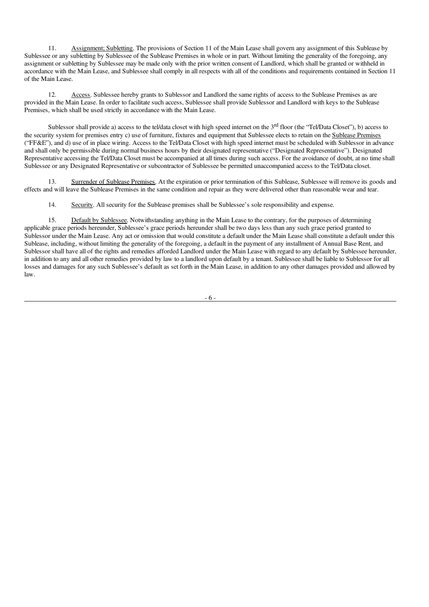11. Assignment; Subletting. The provisions of Section 11 of the Main Lease shall govern any assignment of this Sublease by Sublessee or any subletting by Sublessee of the Sublease Premises in whole or in part. Without limiting the generality of the foregoing, any assignment or subletting by Sublessee may be made only with the prior written consent of Landlord, which shall be granted or withheld in accordance with the Main Lease, and Sublessee shall comply in all respects with all of the conditions and requirements contained in Section 11 of the Main Lease.

12. Access. Sublessee hereby grants to Sublessor and Landlord the same rights of access to the Sublease Premises as are provided in the Main Lease. In order to facilitate such access, Sublessee shall provide Sublessor and Landlord with keys to the Sublease Premises, which shall be used strictly in accordance with the Main Lease.

Sublessor shall provide a) access to the tel/data closet with high speed internet on the 3<sup>rd</sup> floor (the "Tel/Data Closet"), b) access to the security system for premises entry c) use of furniture, fixtures and equipment that Sublessee elects to retain on the Sublease Premises ("FF&E"), and d) use of in place wiring. Access to the Tel/Data Closet with high speed internet must be scheduled with Sublessor in advance and shall only be permissible during normal business hours by their designated representative ("Designated Representative"). Designated Representative accessing the Tel/Data Closet must be accompanied at all times during such access. For the avoidance of doubt, at no time shall Sublessee or any Designated Representative or subcontractor of Sublessee be permitted unaccompanied access to the Tel/Data closet.

13. Surrender of Sublease Premises. At the expiration or prior termination of this Sublease, Sublessee will remove its goods and effects and will leave the Sublease Premises in the same condition and repair as they were delivered other than reasonable wear and tear.

14. Security. All security for the Sublease premises shall be Sublessee's sole responsibility and expense.

15. Default by Sublessee. Notwithstanding anything in the Main Lease to the contrary, for the purposes of determining applicable grace periods hereunder, Sublessee's grace periods hereunder shall be two days less than any such grace period granted to Sublessor under the Main Lease. Any act or omission that would constitute a default under the Main Lease shall constitute a default under this Sublease, including, without limiting the generality of the foregoing, a default in the payment of any installment of Annual Base Rent, and Sublessor shall have all of the rights and remedies afforded Landlord under the Main Lease with regard to any default by Sublessee hereunder, in addition to any and all other remedies provided by law to a landlord upon default by a tenant. Sublessee shall be liable to Sublessor for all losses and damages for any such Sublessee's default as set forth in the Main Lease, in addition to any other damages provided and allowed by law.

- 6 -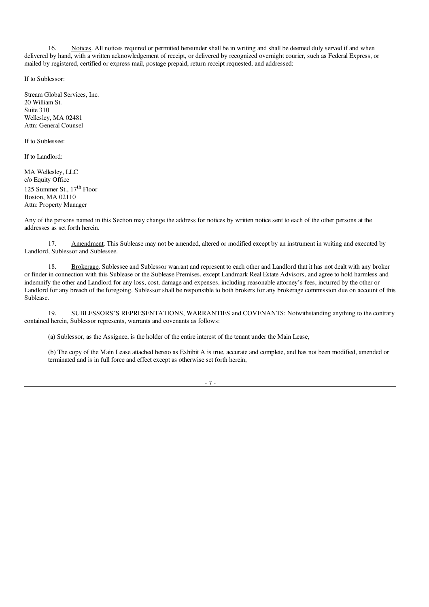16. Notices. All notices required or permitted hereunder shall be in writing and shall be deemed duly served if and when delivered by hand, with a written acknowledgement of receipt, or delivered by recognized overnight courier, such as Federal Express, or mailed by registered, certified or express mail, postage prepaid, return receipt requested, and addressed:

If to Sublessor:

Stream Global Services, Inc. 20 William St. Suite 310 Wellesley, MA 02481 Attn: General Counsel

If to Sublessee:

If to Landlord:

MA Wellesley, LLC c/o Equity Office 125 Summer St., 17<sup>th</sup> Floor Boston, MA 02110 Attn: Property Manager

Any of the persons named in this Section may change the address for notices by written notice sent to each of the other persons at the addresses as set forth herein.

17. Amendment. This Sublease may not be amended, altered or modified except by an instrument in writing and executed by Landlord, Sublessor and Sublessee.

18. Brokerage. Sublessee and Sublessor warrant and represent to each other and Landlord that it has not dealt with any broker or finder in connection with this Sublease or the Sublease Premises, except Landmark Real Estate Advisors, and agree to hold harmless and indemnify the other and Landlord for any loss, cost, damage and expenses, including reasonable attorney's fees, incurred by the other or Landlord for any breach of the foregoing. Sublessor shall be responsible to both brokers for any brokerage commission due on account of this Sublease.

19. SUBLESSORS'S REPRESENTATIONS, WARRANTIES and COVENANTS: Notwithstanding anything to the contrary contained herein, Sublessor represents, warrants and covenants as follows:

(a) Sublessor, as the Assignee, is the holder of the entire interest of the tenant under the Main Lease,

(b) The copy of the Main Lease attached hereto as Exhibit A is true, accurate and complete, and has not been modified, amended or terminated and is in full force and effect except as otherwise set forth herein,

- 7 -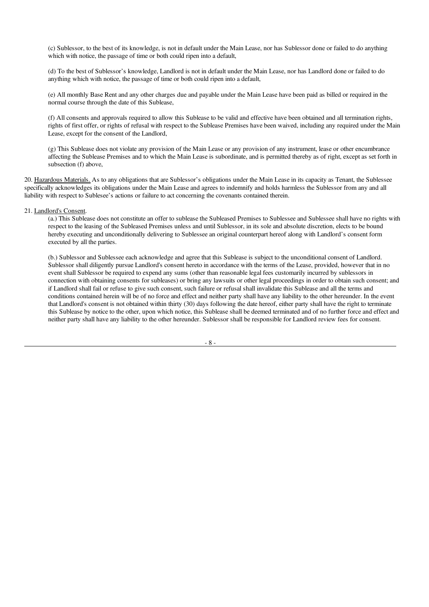(c) Sublessor, to the best of its knowledge, is not in default under the Main Lease, nor has Sublessor done or failed to do anything which with notice, the passage of time or both could ripen into a default,

(d) To the best of Sublessor's knowledge, Landlord is not in default under the Main Lease, nor has Landlord done or failed to do anything which with notice, the passage of time or both could ripen into a default,

(e) All monthly Base Rent and any other charges due and payable under the Main Lease have been paid as billed or required in the normal course through the date of this Sublease,

(f) All consents and approvals required to allow this Sublease to be valid and effective have been obtained and all termination rights, rights of first offer, or rights of refusal with respect to the Sublease Premises have been waived, including any required under the Main Lease, except for the consent of the Landlord,

(g) This Sublease does not violate any provision of the Main Lease or any provision of any instrument, lease or other encumbrance affecting the Sublease Premises and to which the Main Lease is subordinate, and is permitted thereby as of right, except as set forth in subsection (f) above,

20. Hazardous Materials. As to any obligations that are Sublessor's obligations under the Main Lease in its capacity as Tenant, the Sublessee specifically acknowledges its obligations under the Main Lease and agrees to indemnify and holds harmless the Sublessor from any and all liability with respect to Sublesee's actions or failure to act concerning the covenants contained therein.

#### 21. Landlord's Consent.

(a.) This Sublease does not constitute an offer to sublease the Subleased Premises to Sublessee and Sublessee shall have no rights with respect to the leasing of the Subleased Premises unless and until Sublessor, in its sole and absolute discretion, elects to be bound hereby executing and unconditionally delivering to Sublessee an original counterpart hereof along with Landlord's consent form executed by all the parties.

(b.) Sublessor and Sublessee each acknowledge and agree that this Sublease is subject to the unconditional consent of Landlord. Sublessor shall diligently pursue Landlord's consent hereto in accordance with the terms of the Lease, provided, however that in no event shall Sublessor be required to expend any sums (other than reasonable legal fees customarily incurred by sublessors in connection with obtaining consents for subleases) or bring any lawsuits or other legal proceedings in order to obtain such consent; and if Landlord shall fail or refuse to give such consent, such failure or refusal shall invalidate this Sublease and all the terms and conditions contained herein will be of no force and effect and neither party shall have any liability to the other hereunder. In the event that Landlord's consent is not obtained within thirty (30) days following the date hereof, either party shall have the right to terminate this Sublease by notice to the other, upon which notice, this Sublease shall be deemed terminated and of no further force and effect and neither party shall have any liability to the other hereunder. Sublessor shall be responsible for Landlord review fees for consent.